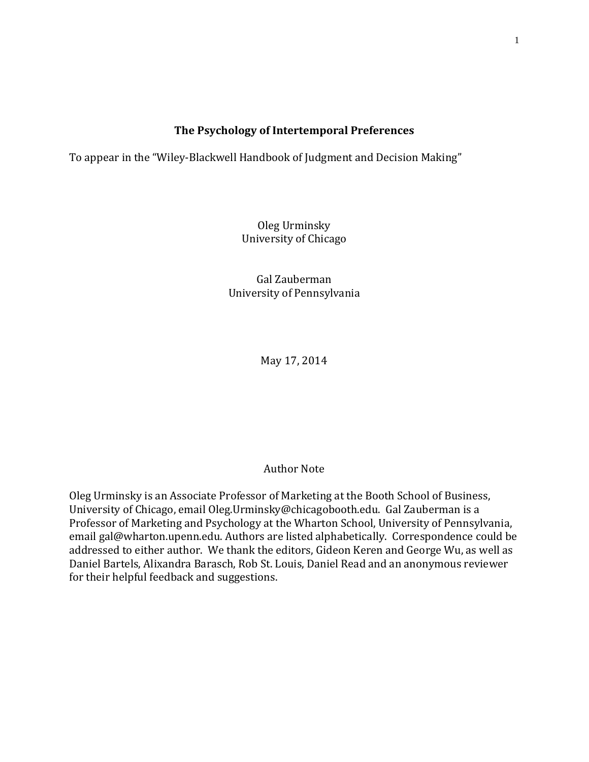## **The Psychology of Intertemporal Preferences**

To appear in the "Wiley-Blackwell Handbook of Judgment and Decision Making"

Oleg Urminsky University of Chicago

Gal Zauberman University of Pennsylvania

May 17, 2014

Author Note

Oleg Urminsky is an Associate Professor of Marketing at the Booth School of Business, University of Chicago, email Oleg.Urminsky@chicagobooth.edu. Gal Zauberman is a Professor of Marketing and Psychology at the Wharton School, University of Pennsylvania, email gal@wharton.upenn.edu. Authors are listed alphabetically. Correspondence could be addressed to either author. We thank the editors, Gideon Keren and George Wu, as well as Daniel Bartels, Alixandra Barasch, Rob St. Louis, Daniel Read and an anonymous reviewer for their helpful feedback and suggestions.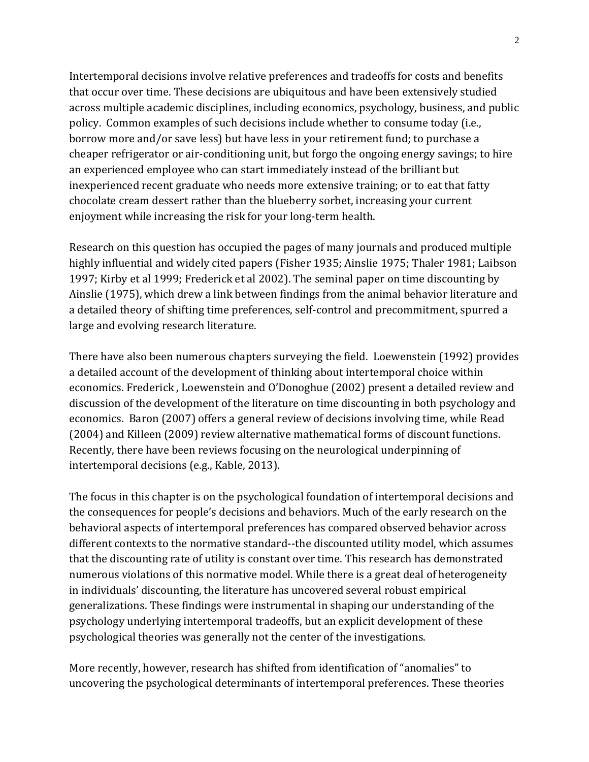Intertemporal decisions involve relative preferences and tradeoffs for costs and benefits that occur over time. These decisions are ubiquitous and have been extensively studied across multiple academic disciplines, including economics, psychology, business, and public policy. Common examples of such decisions include whether to consume today (i.e., borrow more and/or save less) but have less in your retirement fund; to purchase a cheaper refrigerator or air-conditioning unit, but forgo the ongoing energy savings; to hire an experienced employee who can start immediately instead of the brilliant but inexperienced recent graduate who needs more extensive training; or to eat that fatty chocolate cream dessert rather than the blueberry sorbet, increasing your current enjoyment while increasing the risk for your long-term health.

Research on this question has occupied the pages of many journals and produced multiple highly influential and widely cited papers (Fisher 1935; Ainslie 1975; Thaler 1981; Laibson 1997; Kirby et al 1999; Frederick et al 2002). The seminal paper on time discounting by Ainslie (1975), which drew a link between findings from the animal behavior literature and a detailed theory of shifting time preferences, self-control and precommitment, spurred a large and evolving research literature.

There have also been numerous chapters surveying the field. Loewenstein (1992) provides a detailed account of the development of thinking about intertemporal choice within economics. Frederick , Loewenstein and O'Donoghue (2002) present a detailed review and discussion of the development of the literature on time discounting in both psychology and economics. Baron (2007) offers a general review of decisions involving time, while Read (2004) and Killeen (2009) review alternative mathematical forms of discount functions. Recently, there have been reviews focusing on the neurological underpinning of intertemporal decisions (e.g., Kable, 2013).

The focus in this chapter is on the psychological foundation of intertemporal decisions and the consequences for people's decisions and behaviors. Much of the early research on the behavioral aspects of intertemporal preferences has compared observed behavior across different contexts to the normative standard--the discounted utility model, which assumes that the discounting rate of utility is constant over time. This research has demonstrated numerous violations of this normative model. While there is a great deal of heterogeneity in individuals' discounting, the literature has uncovered several robust empirical generalizations. These findings were instrumental in shaping our understanding of the psychology underlying intertemporal tradeoffs, but an explicit development of these psychological theories was generally not the center of the investigations.

More recently, however, research has shifted from identification of "anomalies" to uncovering the psychological determinants of intertemporal preferences. These theories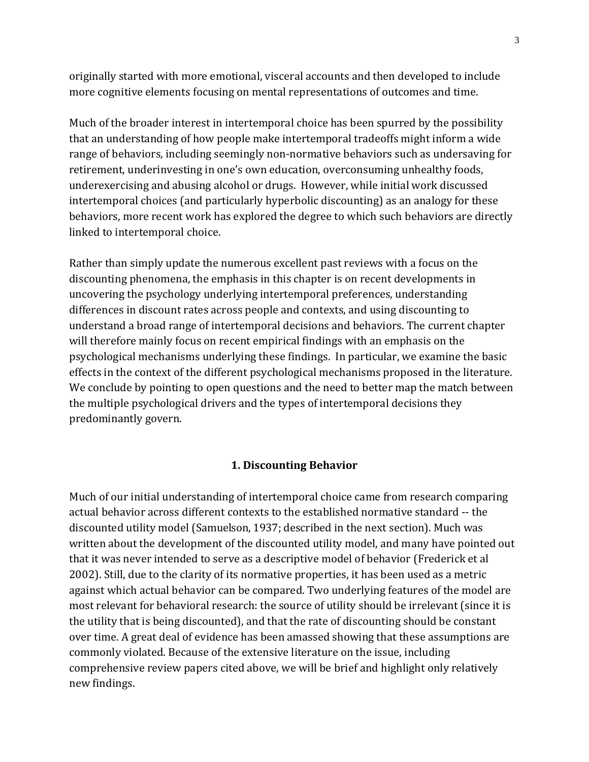originally started with more emotional, visceral accounts and then developed to include more cognitive elements focusing on mental representations of outcomes and time.

Much of the broader interest in intertemporal choice has been spurred by the possibility that an understanding of how people make intertemporal tradeoffs might inform a wide range of behaviors, including seemingly non-normative behaviors such as undersaving for retirement, underinvesting in one's own education, overconsuming unhealthy foods, underexercising and abusing alcohol or drugs. However, while initial work discussed intertemporal choices (and particularly hyperbolic discounting) as an analogy for these behaviors, more recent work has explored the degree to which such behaviors are directly linked to intertemporal choice.

Rather than simply update the numerous excellent past reviews with a focus on the discounting phenomena, the emphasis in this chapter is on recent developments in uncovering the psychology underlying intertemporal preferences, understanding differences in discount rates across people and contexts, and using discounting to understand a broad range of intertemporal decisions and behaviors. The current chapter will therefore mainly focus on recent empirical findings with an emphasis on the psychological mechanisms underlying these findings. In particular, we examine the basic effects in the context of the different psychological mechanisms proposed in the literature. We conclude by pointing to open questions and the need to better map the match between the multiple psychological drivers and the types of intertemporal decisions they predominantly govern.

#### **1. Discounting Behavior**

Much of our initial understanding of intertemporal choice came from research comparing actual behavior across different contexts to the established normative standard -- the discounted utility model (Samuelson, 1937; described in the next section). Much was written about the development of the discounted utility model, and many have pointed out that it was never intended to serve as a descriptive model of behavior (Frederick et al 2002). Still, due to the clarity of its normative properties, it has been used as a metric against which actual behavior can be compared. Two underlying features of the model are most relevant for behavioral research: the source of utility should be irrelevant (since it is the utility that is being discounted), and that the rate of discounting should be constant over time. A great deal of evidence has been amassed showing that these assumptions are commonly violated. Because of the extensive literature on the issue, including comprehensive review papers cited above, we will be brief and highlight only relatively new findings.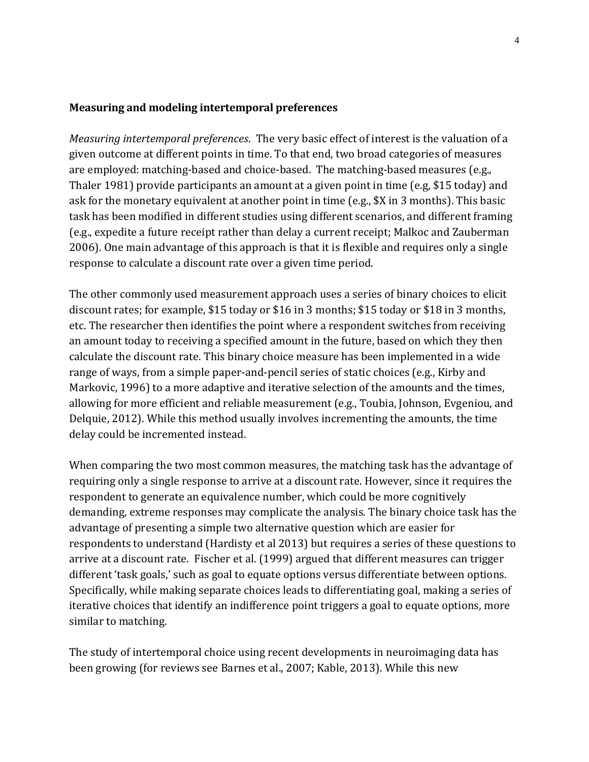### **Measuring and modeling intertemporal preferences**

*Measuring intertemporal preferences*. The very basic effect of interest is the valuation of a given outcome at different points in time. To that end, two broad categories of measures are employed: matching-based and choice-based. The matching-based measures (e.g., Thaler 1981) provide participants an amount at a given point in time (e.g, \$15 today) and ask for the monetary equivalent at another point in time (e.g., \$X in 3 months). This basic task has been modified in different studies using different scenarios, and different framing (e.g., expedite a future receipt rather than delay a current receipt; Malkoc and Zauberman 2006). One main advantage of this approach is that it is flexible and requires only a single response to calculate a discount rate over a given time period.

The other commonly used measurement approach uses a series of binary choices to elicit discount rates; for example, \$15 today or \$16 in 3 months; \$15 today or \$18 in 3 months, etc. The researcher then identifies the point where a respondent switches from receiving an amount today to receiving a specified amount in the future, based on which they then calculate the discount rate. This binary choice measure has been implemented in a wide range of ways, from a simple paper-and-pencil series of static choices (e.g., Kirby and Markovic, 1996) to a more adaptive and iterative selection of the amounts and the times, allowing for more efficient and reliable measurement (e.g., Toubia, Johnson, Evgeniou, and Delquie, 2012). While this method usually involves incrementing the amounts, the time delay could be incremented instead.

When comparing the two most common measures, the matching task has the advantage of requiring only a single response to arrive at a discount rate. However, since it requires the respondent to generate an equivalence number, which could be more cognitively demanding, extreme responses may complicate the analysis. The binary choice task has the advantage of presenting a simple two alternative question which are easier for respondents to understand (Hardisty et al 2013) but requires a series of these questions to arrive at a discount rate. Fischer et al. (1999) argued that different measures can trigger different 'task goals,' such as goal to equate options versus differentiate between options. Specifically, while making separate choices leads to differentiating goal, making a series of iterative choices that identify an indifference point triggers a goal to equate options, more similar to matching.

The study of intertemporal choice using recent developments in neuroimaging data has been growing (for reviews see Barnes et al., 2007; Kable, 2013). While this new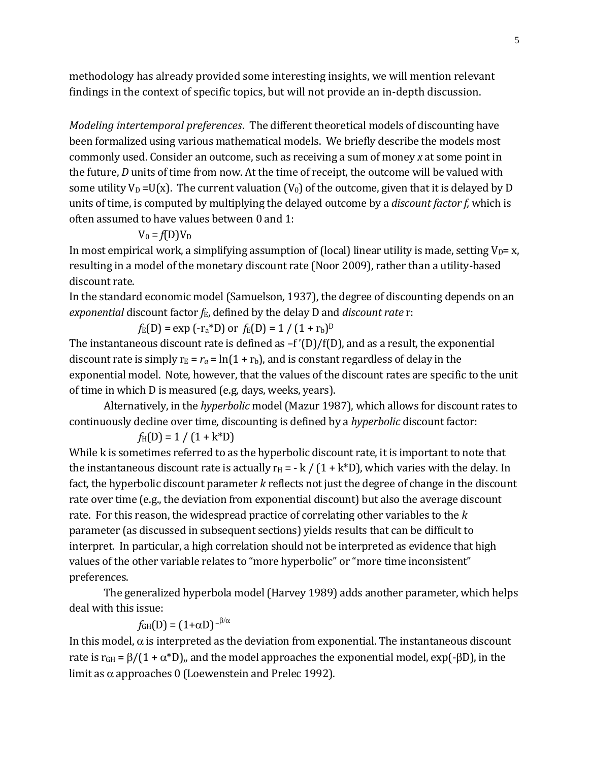methodology has already provided some interesting insights, we will mention relevant findings in the context of specific topics, but will not provide an in-depth discussion.

*Modeling intertemporal preferences*. The different theoretical models of discounting have been formalized using various mathematical models. We briefly describe the models most commonly used. Consider an outcome, such as receiving a sum of money *x* at some point in the future, *D* units of time from now. At the time of receipt, the outcome will be valued with some utility  $V_D = U(x)$ . The current valuation  $(V_0)$  of the outcome, given that it is delayed by D units of time, is computed by multiplying the delayed outcome by a *discount factor f,* which is often assumed to have values between 0 and 1:

$$
V_0 = f(D) V_D
$$

In most empirical work, a simplifying assumption of (local) linear utility is made, setting  $V_D$ = x, resulting in a model of the monetary discount rate (Noor 2009), rather than a utility-based discount rate.

In the standard economic model (Samuelson, 1937), the degree of discounting depends on an *exponential* discount factor *f*E, defined by the delay D and *discount rate* r:

 $f_E(D) = exp(-r_a * D)$  or  $f_E(D) = 1 / (1 + r_b)^D$ 

The instantaneous discount rate is defined as –f '(D)/f(D), and as a result, the exponential discount rate is simply  $r_E = r_a = \ln(1 + r_b)$ , and is constant regardless of delay in the exponential model. Note, however, that the values of the discount rates are specific to the unit of time in which D is measured (e.g, days, weeks, years).

Alternatively, in the *hyperbolic* model (Mazur 1987), which allows for discount rates to continuously decline over time, discounting is defined by a *hyperbolic* discount factor:

$$
f_{\rm H}(D) = 1 / (1 + k^*D)
$$

While k is sometimes referred to as the hyperbolic discount rate, it is important to note that the instantaneous discount rate is actually  $r_H = -k / (1 + k^*D)$ , which varies with the delay. In fact, the hyperbolic discount parameter *k* reflects not just the degree of change in the discount rate over time (e.g., the deviation from exponential discount) but also the average discount rate. For this reason, the widespread practice of correlating other variables to the *k* parameter (as discussed in subsequent sections) yields results that can be difficult to interpret. In particular, a high correlation should not be interpreted as evidence that high values of the other variable relates to "more hyperbolic" or "more time inconsistent" preferences.

The generalized hyperbola model (Harvey 1989) adds another parameter, which helps deal with this issue:

$$
f_{GH}(D) = (1+\alpha D)^{-\beta/\alpha}
$$

In this model,  $\alpha$  is interpreted as the deviation from exponential. The instantaneous discount rate is  $r_{GH} = \beta/(1 + \alpha^*D)$ , and the model approaches the exponential model, exp(- $\beta D$ ), in the limit as  $\alpha$  approaches 0 (Loewenstein and Prelec 1992).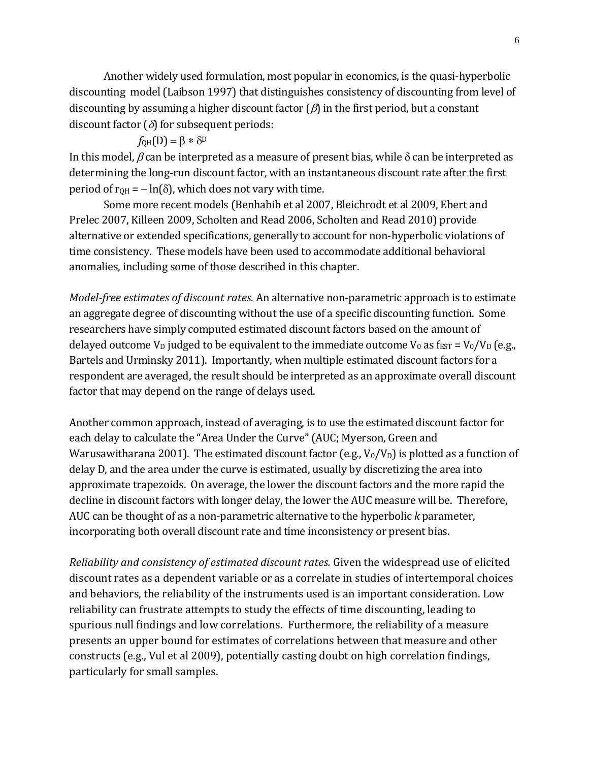Another widely used formulation, most popular in economics, is the quasi-hyperbolic discounting model (Laibson 1997) that distinguishes consistency of discounting from level of discounting by assuming a higher discount factor  $(\beta)$  in the first period, but a constant discount factor  $\delta$  for subsequent periods:

$$
f_{QH}(D) = \beta * \delta^D
$$

In this model,  $\beta$  can be interpreted as a measure of present bias, while  $\delta$  can be interpreted as determining the long-run discount factor, with an instantaneous discount rate after the first period of  $r_{OH} = - \ln(\delta)$ , which does not vary with time.

Some more recent models (Benhabib et al 2007, Bleichrodt et al 2009, Ebert and Prelec 2007, Killeen 2009, Scholten and Read 2006, Scholten and Read 2010) provide alternative or extended specifications, generally to account for non-hyperbolic violations of time consistency. These models have been used to accommodate additional behavioral anomalies, including some of those described in this chapter.

*Model-free estimates of discount rates.* An alternative non-parametric approach is to estimate an aggregate degree of discounting without the use of a specific discounting function. Some researchers have simply computed estimated discount factors based on the amount of delayed outcome  $V_D$  judged to be equivalent to the immediate outcome  $V_0$  as f<sub>EST</sub> =  $V_0/V_D$  (e.g., Bartels and Urminsky 2011). Importantly, when multiple estimated discount factors for a respondent are averaged, the result should be interpreted as an approximate overall discount factor that may depend on the range of delays used.

Another common approach, instead of averaging, is to use the estimated discount factor for each delay to calculate the "Area Under the Curve" (AUC; Myerson, Green and Warusawitharana 2001). The estimated discount factor (e.g.,  $V_0/V_D$ ) is plotted as a function of delay D, and the area under the curve is estimated, usually by discretizing the area into approximate trapezoids. On average, the lower the discount factors and the more rapid the decline in discount factors with longer delay, the lower the AUC measure will be. Therefore, AUC can be thought of as a non-parametric alternative to the hyperbolic *k* parameter, incorporating both overall discount rate and time inconsistency or present bias.

*Reliability and consistency of estimated discount rates.* Given the widespread use of elicited discount rates as a dependent variable or as a correlate in studies of intertemporal choices and behaviors, the reliability of the instruments used is an important consideration. Low reliability can frustrate attempts to study the effects of time discounting, leading to spurious null findings and low correlations. Furthermore, the reliability of a measure presents an upper bound for estimates of correlations between that measure and other constructs (e.g., Vul et al 2009), potentially casting doubt on high correlation findings, particularly for small samples.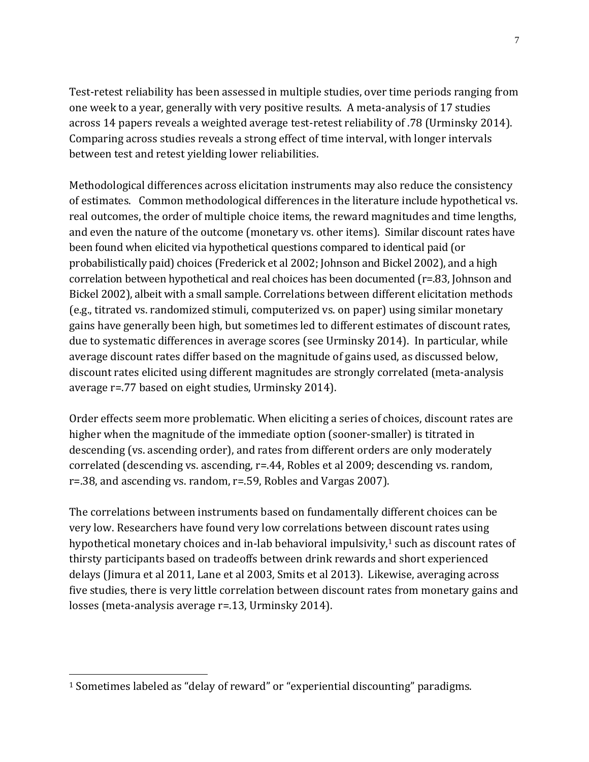Test-retest reliability has been assessed in multiple studies, over time periods ranging from one week to a year, generally with very positive results. A meta-analysis of 17 studies across 14 papers reveals a weighted average test-retest reliability of .78 (Urminsky 2014). Comparing across studies reveals a strong effect of time interval, with longer intervals between test and retest yielding lower reliabilities.

Methodological differences across elicitation instruments may also reduce the consistency of estimates. Common methodological differences in the literature include hypothetical vs. real outcomes, the order of multiple choice items, the reward magnitudes and time lengths, and even the nature of the outcome (monetary vs. other items). Similar discount rates have been found when elicited via hypothetical questions compared to identical paid (or probabilistically paid) choices (Frederick et al 2002; Johnson and Bickel 2002), and a high correlation between hypothetical and real choices has been documented (r=.83, Johnson and Bickel 2002), albeit with a small sample. Correlations between different elicitation methods (e.g., titrated vs. randomized stimuli, computerized vs. on paper) using similar monetary gains have generally been high, but sometimes led to different estimates of discount rates, due to systematic differences in average scores (see Urminsky 2014). In particular, while average discount rates differ based on the magnitude of gains used, as discussed below, discount rates elicited using different magnitudes are strongly correlated (meta-analysis average r=.77 based on eight studies, Urminsky 2014).

Order effects seem more problematic. When eliciting a series of choices, discount rates are higher when the magnitude of the immediate option (sooner-smaller) is titrated in descending (vs. ascending order), and rates from different orders are only moderately correlated (descending vs. ascending, r=.44, Robles et al 2009; descending vs. random, r=.38, and ascending vs. random, r=.59, Robles and Vargas 2007).

The correlations between instruments based on fundamentally different choices can be very low. Researchers have found very low correlations between discount rates using hypothetical monetary choices and in-lab behavioral impulsivity, $1$  such as discount rates of thirsty participants based on tradeoffs between drink rewards and short experienced delays (Jimura et al 2011, Lane et al 2003, Smits et al 2013). Likewise, averaging across five studies, there is very little correlation between discount rates from monetary gains and losses (meta-analysis average r=.13, Urminsky 2014).

l

<sup>1</sup> Sometimes labeled as "delay of reward" or "experiential discounting" paradigms.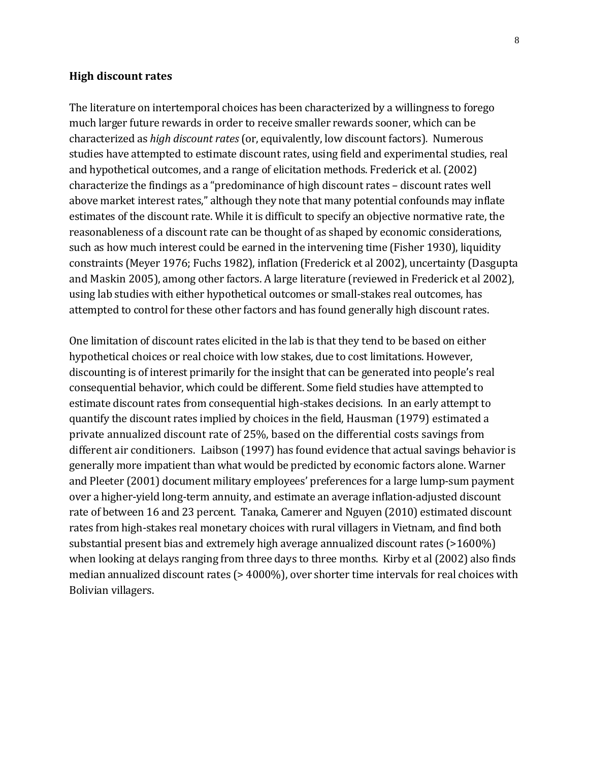#### **High discount rates**

The literature on intertemporal choices has been characterized by a willingness to forego much larger future rewards in order to receive smaller rewards sooner, which can be characterized as *high discount rates*(or, equivalently, low discount factors)*.* Numerous studies have attempted to estimate discount rates, using field and experimental studies, real and hypothetical outcomes, and a range of elicitation methods. Frederick et al. (2002) characterize the findings as a "predominance of high discount rates – discount rates well above market interest rates," although they note that many potential confounds may inflate estimates of the discount rate. While it is difficult to specify an objective normative rate, the reasonableness of a discount rate can be thought of as shaped by economic considerations, such as how much interest could be earned in the intervening time (Fisher 1930), liquidity constraints (Meyer 1976; Fuchs 1982), inflation (Frederick et al 2002), uncertainty (Dasgupta and Maskin 2005), among other factors. A large literature (reviewed in Frederick et al 2002), using lab studies with either hypothetical outcomes or small-stakes real outcomes, has attempted to control for these other factors and has found generally high discount rates.

One limitation of discount rates elicited in the lab is that they tend to be based on either hypothetical choices or real choice with low stakes, due to cost limitations. However, discounting is of interest primarily for the insight that can be generated into people's real consequential behavior, which could be different. Some field studies have attempted to estimate discount rates from consequential high-stakes decisions. In an early attempt to quantify the discount rates implied by choices in the field, Hausman (1979) estimated a private annualized discount rate of 25%, based on the differential costs savings from different air conditioners. Laibson (1997) has found evidence that actual savings behavior is generally more impatient than what would be predicted by economic factors alone. Warner and Pleeter (2001) document military employees' preferences for a large lump-sum payment over a higher-yield long-term annuity, and estimate an average inflation-adjusted discount rate of between 16 and 23 percent. Tanaka, Camerer and Nguyen (2010) estimated discount rates from high-stakes real monetary choices with rural villagers in Vietnam, and find both substantial present bias and extremely high average annualized discount rates (>1600%) when looking at delays ranging from three days to three months. Kirby et al (2002) also finds median annualized discount rates (> 4000%), over shorter time intervals for real choices with Bolivian villagers.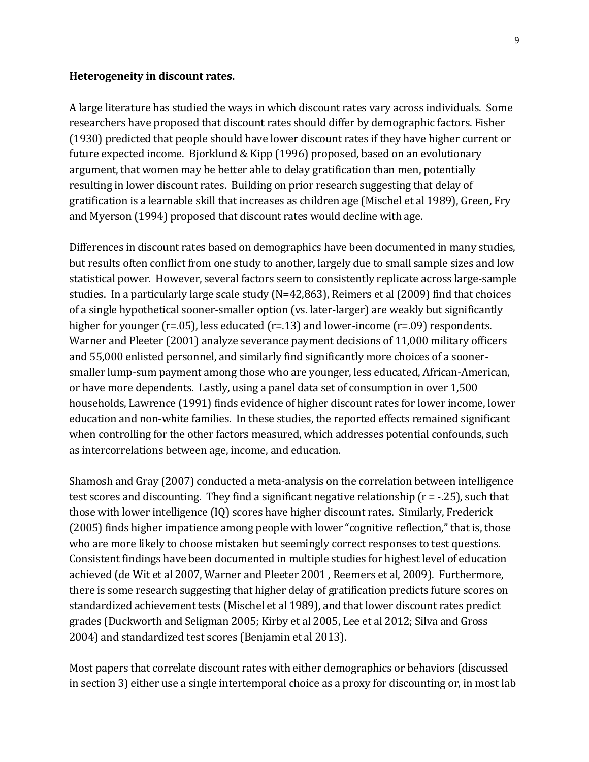#### **Heterogeneity in discount rates.**

A large literature has studied the ways in which discount rates vary across individuals. Some researchers have proposed that discount rates should differ by demographic factors. Fisher (1930) predicted that people should have lower discount rates if they have higher current or future expected income. Bjorklund & Kipp (1996) proposed, based on an evolutionary argument, that women may be better able to delay gratification than men, potentially resulting in lower discount rates. Building on prior research suggesting that delay of gratification is a learnable skill that increases as children age (Mischel et al 1989), Green, Fry and Myerson (1994) proposed that discount rates would decline with age.

Differences in discount rates based on demographics have been documented in many studies, but results often conflict from one study to another, largely due to small sample sizes and low statistical power. However, several factors seem to consistently replicate across large-sample studies. In a particularly large scale study (N=42,863), Reimers et al (2009) find that choices of a single hypothetical sooner-smaller option (vs. later-larger) are weakly but significantly higher for younger (r=.05), less educated (r=.13) and lower-income (r=.09) respondents. Warner and Pleeter (2001) analyze severance payment decisions of 11,000 military officers and 55,000 enlisted personnel, and similarly find significantly more choices of a soonersmaller lump-sum payment among those who are younger, less educated, African-American, or have more dependents. Lastly, using a panel data set of consumption in over 1,500 households, Lawrence (1991) finds evidence of higher discount rates for lower income, lower education and non-white families. In these studies, the reported effects remained significant when controlling for the other factors measured, which addresses potential confounds, such as intercorrelations between age, income, and education.

Shamosh and Gray (2007) conducted a meta-analysis on the correlation between intelligence test scores and discounting. They find a significant negative relationship (r = -.25), such that those with lower intelligence (IQ) scores have higher discount rates. Similarly, Frederick (2005) finds higher impatience among people with lower "cognitive reflection," that is, those who are more likely to choose mistaken but seemingly correct responses to test questions. Consistent findings have been documented in multiple studies for highest level of education achieved (de Wit et al 2007, Warner and Pleeter 2001 , Reemers et al, 2009). Furthermore, there is some research suggesting that higher delay of gratification predicts future scores on standardized achievement tests (Mischel et al 1989), and that lower discount rates predict grades (Duckworth and Seligman 2005; Kirby et al 2005, Lee et al 2012; Silva and Gross 2004) and standardized test scores (Benjamin et al 2013).

Most papers that correlate discount rates with either demographics or behaviors (discussed in section 3) either use a single intertemporal choice as a proxy for discounting or, in most lab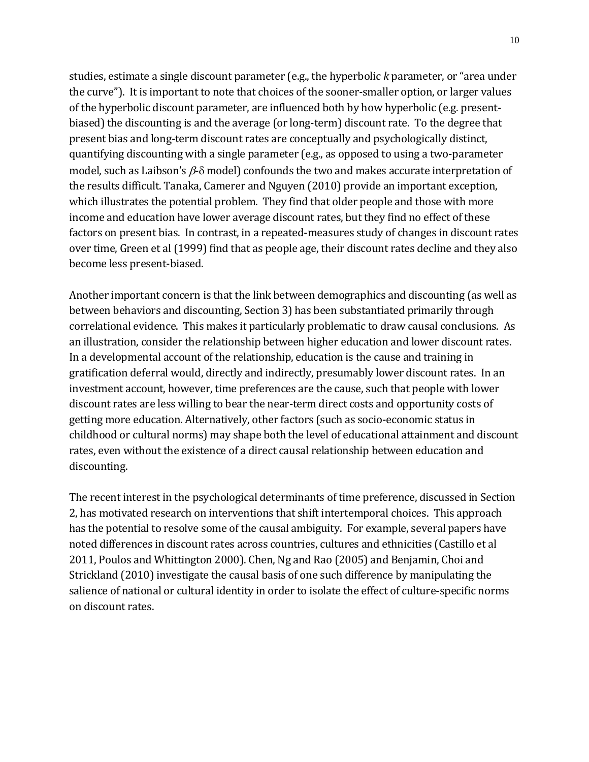studies, estimate a single discount parameter (e.g., the hyperbolic *k* parameter, or "area under the curve"). It is important to note that choices of the sooner-smaller option, or larger values of the hyperbolic discount parameter, are influenced both by how hyperbolic (e.g. presentbiased) the discounting is and the average (or long-term) discount rate. To the degree that present bias and long-term discount rates are conceptually and psychologically distinct, quantifying discounting with a single parameter (e.g., as opposed to using a two-parameter model, such as Laibson's  $\beta$ - $\delta$  model) confounds the two and makes accurate interpretation of the results difficult. Tanaka, Camerer and Nguyen (2010) provide an important exception, which illustrates the potential problem. They find that older people and those with more income and education have lower average discount rates, but they find no effect of these factors on present bias. In contrast, in a repeated-measures study of changes in discount rates over time, Green et al (1999) find that as people age, their discount rates decline and they also become less present-biased.

Another important concern is that the link between demographics and discounting (as well as between behaviors and discounting, Section 3) has been substantiated primarily through correlational evidence. This makes it particularly problematic to draw causal conclusions. As an illustration, consider the relationship between higher education and lower discount rates. In a developmental account of the relationship, education is the cause and training in gratification deferral would, directly and indirectly, presumably lower discount rates. In an investment account, however, time preferences are the cause, such that people with lower discount rates are less willing to bear the near-term direct costs and opportunity costs of getting more education. Alternatively, other factors (such as socio-economic status in childhood or cultural norms) may shape both the level of educational attainment and discount rates, even without the existence of a direct causal relationship between education and discounting.

The recent interest in the psychological determinants of time preference, discussed in Section 2, has motivated research on interventions that shift intertemporal choices. This approach has the potential to resolve some of the causal ambiguity. For example, several papers have noted differences in discount rates across countries, cultures and ethnicities (Castillo et al 2011, Poulos and Whittington 2000). Chen, Ng and Rao (2005) and Benjamin, Choi and Strickland (2010) investigate the causal basis of one such difference by manipulating the salience of national or cultural identity in order to isolate the effect of culture-specific norms on discount rates.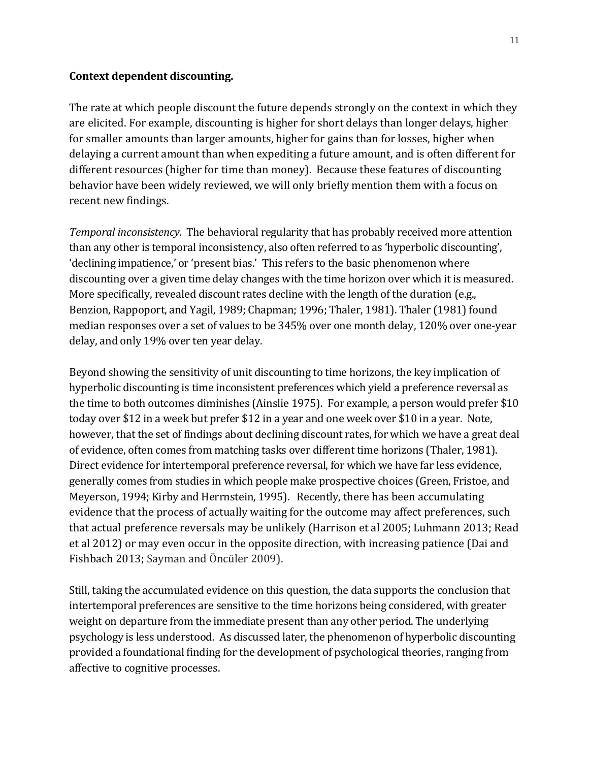### **Context dependent discounting.**

The rate at which people discount the future depends strongly on the context in which they are elicited. For example, discounting is higher for short delays than longer delays, higher for smaller amounts than larger amounts, higher for gains than for losses, higher when delaying a current amount than when expediting a future amount, and is often different for different resources (higher for time than money). Because these features of discounting behavior have been widely reviewed, we will only briefly mention them with a focus on recent new findings.

*Temporal inconsistency*. The behavioral regularity that has probably received more attention than any other is temporal inconsistency, also often referred to as 'hyperbolic discounting', 'declining impatience,' or 'present bias.' This refers to the basic phenomenon where discounting over a given time delay changes with the time horizon over which it is measured. More specifically, revealed discount rates decline with the length of the duration (e.g., Benzion, Rappoport, and Yagil, 1989; Chapman; 1996; Thaler, 1981). Thaler (1981) found median responses over a set of values to be 345% over one month delay, 120% over one-year delay, and only 19% over ten year delay.

Beyond showing the sensitivity of unit discounting to time horizons, the key implication of hyperbolic discounting is time inconsistent preferences which yield a preference reversal as the time to both outcomes diminishes (Ainslie 1975). For example, a person would prefer \$10 today over \$12 in a week but prefer \$12 in a year and one week over \$10 in a year. Note, however, that the set of findings about declining discount rates, for which we have a great deal of evidence, often comes from matching tasks over different time horizons (Thaler, 1981). Direct evidence for intertemporal preference reversal, for which we have far less evidence, generally comes from studies in which people make prospective choices (Green, Fristoe, and Meyerson, 1994; Kirby and Herrnstein, 1995). Recently, there has been accumulating evidence that the process of actually waiting for the outcome may affect preferences, such that actual preference reversals may be unlikely (Harrison et al 2005; Luhmann 2013; Read et al 2012) or may even occur in the opposite direction, with increasing patience (Dai and Fishbach 2013; Sayman and Öncüler 2009).

Still, taking the accumulated evidence on this question, the data supports the conclusion that intertemporal preferences are sensitive to the time horizons being considered, with greater weight on departure from the immediate present than any other period. The underlying psychology is less understood. As discussed later, the phenomenon of hyperbolic discounting provided a foundational finding for the development of psychological theories, ranging from affective to cognitive processes.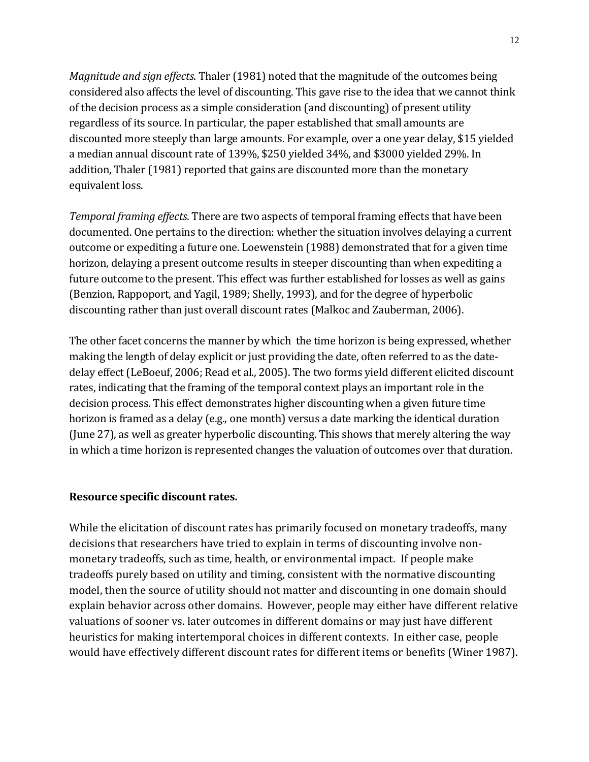*Magnitude and sign effects*. Thaler (1981) noted that the magnitude of the outcomes being considered also affects the level of discounting. This gave rise to the idea that we cannot think of the decision process as a simple consideration (and discounting) of present utility regardless of its source. In particular, the paper established that small amounts are discounted more steeply than large amounts. For example, over a one year delay, \$15 yielded a median annual discount rate of 139%, \$250 yielded 34%, and \$3000 yielded 29%. In addition, Thaler (1981) reported that gains are discounted more than the monetary equivalent loss.

*Temporal framing effects*. There are two aspects of temporal framing effects that have been documented. One pertains to the direction: whether the situation involves delaying a current outcome or expediting a future one. Loewenstein (1988) demonstrated that for a given time horizon, delaying a present outcome results in steeper discounting than when expediting a future outcome to the present. This effect was further established for losses as well as gains (Benzion, Rappoport, and Yagil, 1989; Shelly, 1993), and for the degree of hyperbolic discounting rather than just overall discount rates (Malkoc and Zauberman, 2006).

The other facet concerns the manner by which the time horizon is being expressed, whether making the length of delay explicit or just providing the date, often referred to as the datedelay effect (LeBoeuf, 2006; Read et al., 2005). The two forms yield different elicited discount rates, indicating that the framing of the temporal context plays an important role in the decision process. This effect demonstrates higher discounting when a given future time horizon is framed as a delay (e.g., one month) versus a date marking the identical duration (June 27), as well as greater hyperbolic discounting. This shows that merely altering the way in which a time horizon is represented changes the valuation of outcomes over that duration.

## **Resource specific discount rates.**

While the elicitation of discount rates has primarily focused on monetary tradeoffs, many decisions that researchers have tried to explain in terms of discounting involve nonmonetary tradeoffs, such as time, health, or environmental impact. If people make tradeoffs purely based on utility and timing, consistent with the normative discounting model, then the source of utility should not matter and discounting in one domain should explain behavior across other domains. However, people may either have different relative valuations of sooner vs. later outcomes in different domains or may just have different heuristics for making intertemporal choices in different contexts. In either case, people would have effectively different discount rates for different items or benefits (Winer 1987).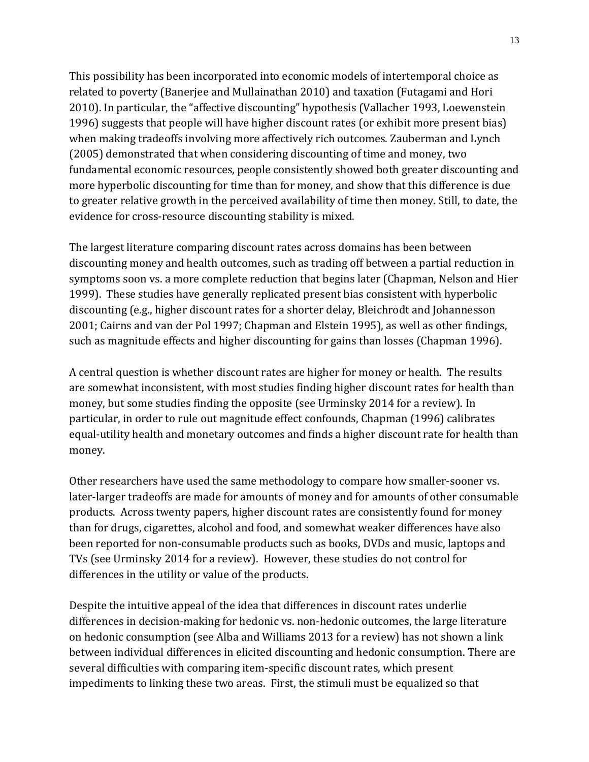This possibility has been incorporated into economic models of intertemporal choice as related to poverty (Banerjee and Mullainathan 2010) and taxation (Futagami and Hori 2010). In particular, the "affective discounting" hypothesis (Vallacher 1993, Loewenstein 1996) suggests that people will have higher discount rates (or exhibit more present bias) when making tradeoffs involving more affectively rich outcomes. Zauberman and Lynch (2005) demonstrated that when considering discounting of time and money, two fundamental economic resources, people consistently showed both greater discounting and more hyperbolic discounting for time than for money, and show that this difference is due to greater relative growth in the perceived availability of time then money. Still, to date, the evidence for cross-resource discounting stability is mixed.

The largest literature comparing discount rates across domains has been between discounting money and health outcomes, such as trading off between a partial reduction in symptoms soon vs. a more complete reduction that begins later (Chapman, Nelson and Hier 1999). These studies have generally replicated present bias consistent with hyperbolic discounting (e.g., higher discount rates for a shorter delay, Bleichrodt and Johannesson 2001; Cairns and van der Pol 1997; Chapman and Elstein 1995), as well as other findings, such as magnitude effects and higher discounting for gains than losses (Chapman 1996).

A central question is whether discount rates are higher for money or health. The results are somewhat inconsistent, with most studies finding higher discount rates for health than money, but some studies finding the opposite (see Urminsky 2014 for a review). In particular, in order to rule out magnitude effect confounds, Chapman (1996) calibrates equal-utility health and monetary outcomes and finds a higher discount rate for health than money.

Other researchers have used the same methodology to compare how smaller-sooner vs. later-larger tradeoffs are made for amounts of money and for amounts of other consumable products. Across twenty papers, higher discount rates are consistently found for money than for drugs, cigarettes, alcohol and food, and somewhat weaker differences have also been reported for non-consumable products such as books, DVDs and music, laptops and TVs (see Urminsky 2014 for a review). However, these studies do not control for differences in the utility or value of the products.

Despite the intuitive appeal of the idea that differences in discount rates underlie differences in decision-making for hedonic vs. non-hedonic outcomes, the large literature on hedonic consumption (see Alba and Williams 2013 for a review) has not shown a link between individual differences in elicited discounting and hedonic consumption. There are several difficulties with comparing item-specific discount rates, which present impediments to linking these two areas. First, the stimuli must be equalized so that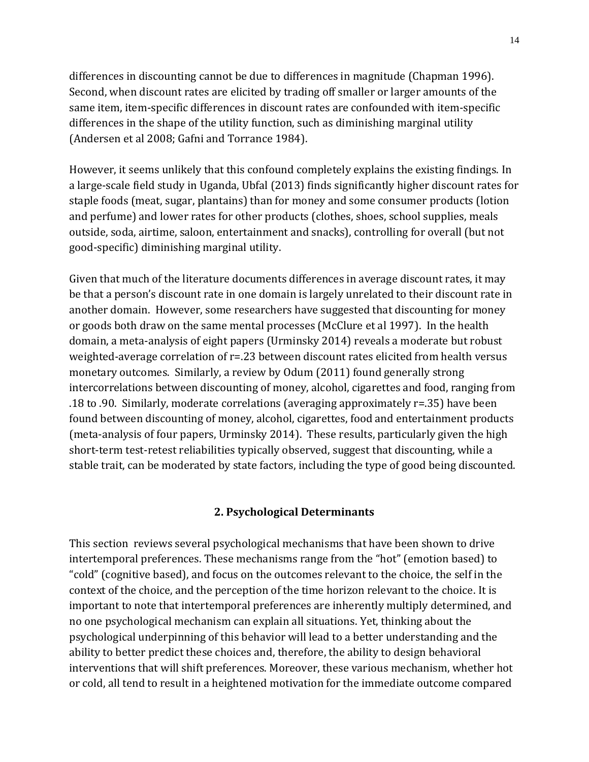differences in discounting cannot be due to differences in magnitude (Chapman 1996). Second, when discount rates are elicited by trading off smaller or larger amounts of the same item, item-specific differences in discount rates are confounded with item-specific differences in the shape of the utility function, such as diminishing marginal utility (Andersen et al 2008; Gafni and Torrance 1984).

However, it seems unlikely that this confound completely explains the existing findings. In a large-scale field study in Uganda, Ubfal (2013) finds significantly higher discount rates for staple foods (meat, sugar, plantains) than for money and some consumer products (lotion and perfume) and lower rates for other products (clothes, shoes, school supplies, meals outside, soda, airtime, saloon, entertainment and snacks), controlling for overall (but not good-specific) diminishing marginal utility.

Given that much of the literature documents differences in average discount rates, it may be that a person's discount rate in one domain is largely unrelated to their discount rate in another domain. However, some researchers have suggested that discounting for money or goods both draw on the same mental processes (McClure et al 1997). In the health domain, a meta-analysis of eight papers (Urminsky 2014) reveals a moderate but robust weighted-average correlation of r=.23 between discount rates elicited from health versus monetary outcomes. Similarly, a review by Odum (2011) found generally strong intercorrelations between discounting of money, alcohol, cigarettes and food, ranging from .18 to .90. Similarly, moderate correlations (averaging approximately r=.35) have been found between discounting of money, alcohol, cigarettes, food and entertainment products (meta-analysis of four papers, Urminsky 2014). These results, particularly given the high short-term test-retest reliabilities typically observed, suggest that discounting, while a stable trait, can be moderated by state factors, including the type of good being discounted.

## **2. Psychological Determinants**

This section reviews several psychological mechanisms that have been shown to drive intertemporal preferences. These mechanisms range from the "hot" (emotion based) to "cold" (cognitive based), and focus on the outcomes relevant to the choice, the self in the context of the choice, and the perception of the time horizon relevant to the choice. It is important to note that intertemporal preferences are inherently multiply determined, and no one psychological mechanism can explain all situations. Yet, thinking about the psychological underpinning of this behavior will lead to a better understanding and the ability to better predict these choices and, therefore, the ability to design behavioral interventions that will shift preferences. Moreover, these various mechanism, whether hot or cold, all tend to result in a heightened motivation for the immediate outcome compared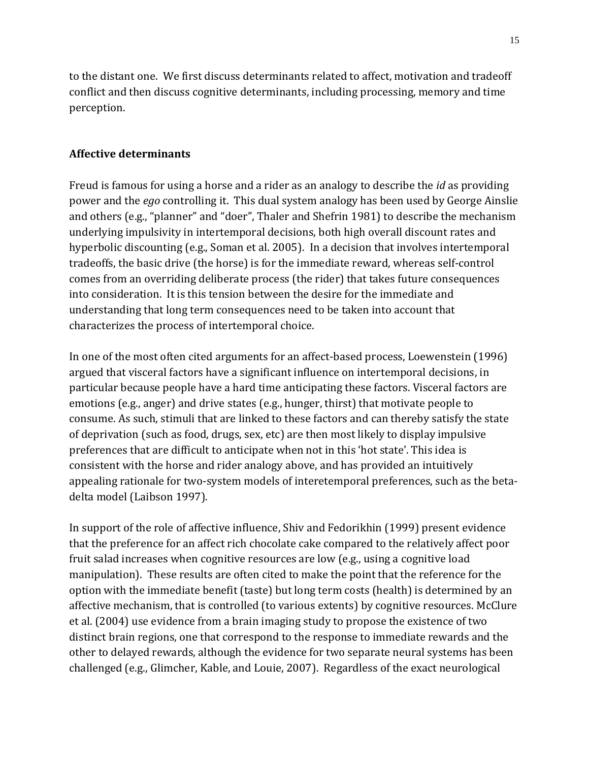to the distant one. We first discuss determinants related to affect, motivation and tradeoff conflict and then discuss cognitive determinants, including processing, memory and time perception.

## **Affective determinants**

Freud is famous for using a horse and a rider as an analogy to describe the *id* as providing power and the *ego* controlling it. This dual system analogy has been used by George Ainslie and others (e.g., "planner" and "doer", Thaler and Shefrin 1981) to describe the mechanism underlying impulsivity in intertemporal decisions, both high overall discount rates and hyperbolic discounting (e.g., Soman et al. 2005). In a decision that involves intertemporal tradeoffs, the basic drive (the horse) is for the immediate reward, whereas self-control comes from an overriding deliberate process (the rider) that takes future consequences into consideration. It is this tension between the desire for the immediate and understanding that long term consequences need to be taken into account that characterizes the process of intertemporal choice.

In one of the most often cited arguments for an affect-based process, Loewenstein (1996) argued that visceral factors have a significant influence on intertemporal decisions, in particular because people have a hard time anticipating these factors. Visceral factors are emotions (e.g., anger) and drive states (e.g., hunger, thirst) that motivate people to consume. As such, stimuli that are linked to these factors and can thereby satisfy the state of deprivation (such as food, drugs, sex, etc) are then most likely to display impulsive preferences that are difficult to anticipate when not in this 'hot state'. This idea is consistent with the horse and rider analogy above, and has provided an intuitively appealing rationale for two-system models of interetemporal preferences, such as the betadelta model (Laibson 1997).

In support of the role of affective influence, Shiv and Fedorikhin (1999) present evidence that the preference for an affect rich chocolate cake compared to the relatively affect poor fruit salad increases when cognitive resources are low (e.g., using a cognitive load manipulation). These results are often cited to make the point that the reference for the option with the immediate benefit (taste) but long term costs (health) is determined by an affective mechanism, that is controlled (to various extents) by cognitive resources. McClure et al. (2004) use evidence from a brain imaging study to propose the existence of two distinct brain regions, one that correspond to the response to immediate rewards and the other to delayed rewards, although the evidence for two separate neural systems has been challenged (e.g., Glimcher, Kable, and Louie, 2007). Regardless of the exact neurological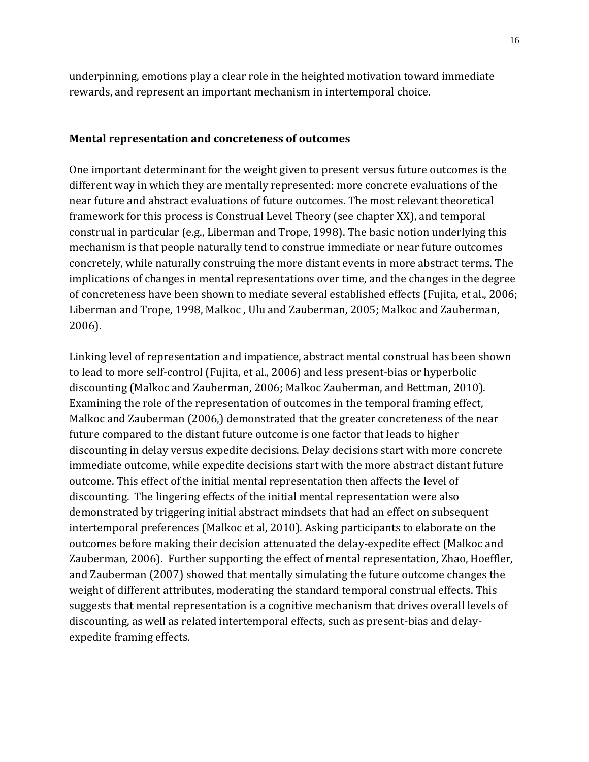underpinning, emotions play a clear role in the heighted motivation toward immediate rewards, and represent an important mechanism in intertemporal choice.

### **Mental representation and concreteness of outcomes**

One important determinant for the weight given to present versus future outcomes is the different way in which they are mentally represented: more concrete evaluations of the near future and abstract evaluations of future outcomes. The most relevant theoretical framework for this process is Construal Level Theory (see chapter XX), and temporal construal in particular (e.g., Liberman and Trope, 1998). The basic notion underlying this mechanism is that people naturally tend to construe immediate or near future outcomes concretely, while naturally construing the more distant events in more abstract terms. The implications of changes in mental representations over time, and the changes in the degree of concreteness have been shown to mediate several established effects (Fujita, et al., 2006; Liberman and Trope, 1998, Malkoc , Ulu and Zauberman, 2005; Malkoc and Zauberman, 2006).

Linking level of representation and impatience, abstract mental construal has been shown to lead to more self-control (Fujita, et al., 2006) and less present-bias or hyperbolic discounting (Malkoc and Zauberman, 2006; Malkoc Zauberman, and Bettman, 2010). Examining the role of the representation of outcomes in the temporal framing effect, Malkoc and Zauberman (2006,) demonstrated that the greater concreteness of the near future compared to the distant future outcome is one factor that leads to higher discounting in delay versus expedite decisions. Delay decisions start with more concrete immediate outcome, while expedite decisions start with the more abstract distant future outcome. This effect of the initial mental representation then affects the level of discounting. The lingering effects of the initial mental representation were also demonstrated by triggering initial abstract mindsets that had an effect on subsequent intertemporal preferences (Malkoc et al, 2010). Asking participants to elaborate on the outcomes before making their decision attenuated the delay-expedite effect (Malkoc and Zauberman, 2006). Further supporting the effect of mental representation, Zhao, Hoeffler, and Zauberman (2007) showed that mentally simulating the future outcome changes the weight of different attributes, moderating the standard temporal construal effects. This suggests that mental representation is a cognitive mechanism that drives overall levels of discounting, as well as related intertemporal effects, such as present-bias and delayexpedite framing effects.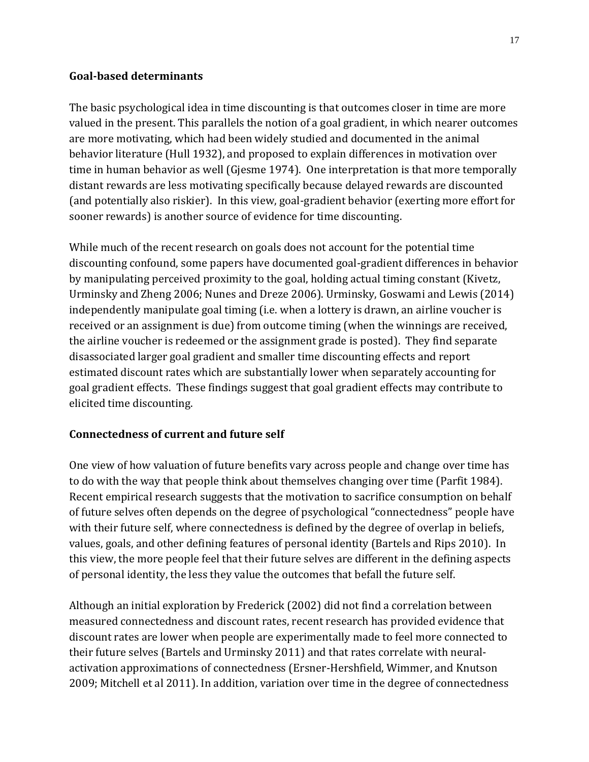### **Goal-based determinants**

The basic psychological idea in time discounting is that outcomes closer in time are more valued in the present. This parallels the notion of a goal gradient, in which nearer outcomes are more motivating, which had been widely studied and documented in the animal behavior literature (Hull 1932), and proposed to explain differences in motivation over time in human behavior as well (Gjesme 1974). One interpretation is that more temporally distant rewards are less motivating specifically because delayed rewards are discounted (and potentially also riskier). In this view, goal-gradient behavior (exerting more effort for sooner rewards) is another source of evidence for time discounting.

While much of the recent research on goals does not account for the potential time discounting confound, some papers have documented goal-gradient differences in behavior by manipulating perceived proximity to the goal, holding actual timing constant (Kivetz, Urminsky and Zheng 2006; Nunes and Dreze 2006). Urminsky, Goswami and Lewis (2014) independently manipulate goal timing (i.e. when a lottery is drawn, an airline voucher is received or an assignment is due) from outcome timing (when the winnings are received, the airline voucher is redeemed or the assignment grade is posted). They find separate disassociated larger goal gradient and smaller time discounting effects and report estimated discount rates which are substantially lower when separately accounting for goal gradient effects. These findings suggest that goal gradient effects may contribute to elicited time discounting.

## **Connectedness of current and future self**

One view of how valuation of future benefits vary across people and change over time has to do with the way that people think about themselves changing over time (Parfit 1984). Recent empirical research suggests that the motivation to sacrifice consumption on behalf of future selves often depends on the degree of psychological "connectedness" people have with their future self, where connectedness is defined by the degree of overlap in beliefs, values, goals, and other defining features of personal identity (Bartels and Rips 2010). In this view, the more people feel that their future selves are different in the defining aspects of personal identity, the less they value the outcomes that befall the future self.

Although an initial exploration by Frederick (2002) did not find a correlation between measured connectedness and discount rates, recent research has provided evidence that discount rates are lower when people are experimentally made to feel more connected to their future selves (Bartels and Urminsky 2011) and that rates correlate with neuralactivation approximations of connectedness (Ersner-Hershfield, Wimmer, and Knutson 2009; Mitchell et al 2011). In addition, variation over time in the degree of connectedness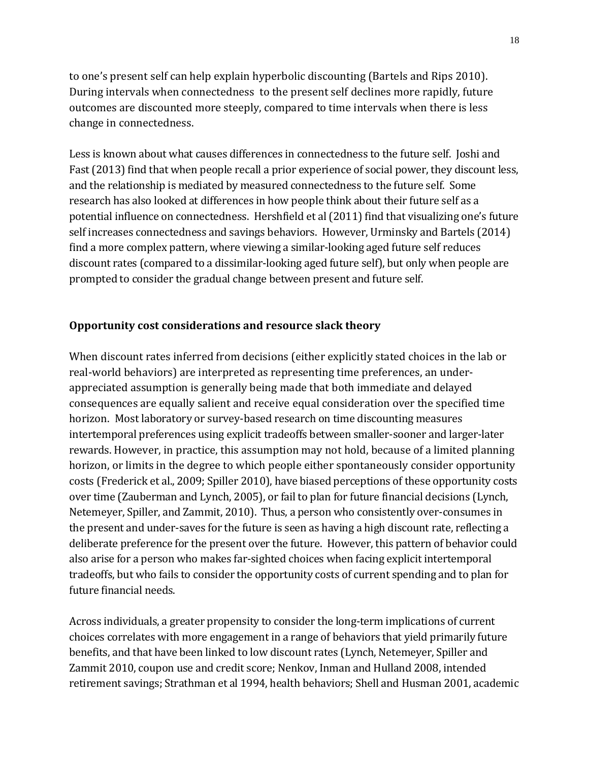to one's present self can help explain hyperbolic discounting (Bartels and Rips 2010). During intervals when connectedness to the present self declines more rapidly, future outcomes are discounted more steeply, compared to time intervals when there is less change in connectedness.

Less is known about what causes differences in connectedness to the future self. Joshi and Fast (2013) find that when people recall a prior experience of social power, they discount less, and the relationship is mediated by measured connectedness to the future self. Some research has also looked at differences in how people think about their future self as a potential influence on connectedness. Hershfield et al (2011) find that visualizing one's future self increases connectedness and savings behaviors. However, Urminsky and Bartels (2014) find a more complex pattern, where viewing a similar-looking aged future self reduces discount rates (compared to a dissimilar-looking aged future self), but only when people are prompted to consider the gradual change between present and future self.

# **Opportunity cost considerations and resource slack theory**

When discount rates inferred from decisions (either explicitly stated choices in the lab or real-world behaviors) are interpreted as representing time preferences, an underappreciated assumption is generally being made that both immediate and delayed consequences are equally salient and receive equal consideration over the specified time horizon. Most laboratory or survey-based research on time discounting measures intertemporal preferences using explicit tradeoffs between smaller-sooner and larger-later rewards. However, in practice, this assumption may not hold, because of a limited planning horizon, or limits in the degree to which people either spontaneously consider opportunity costs (Frederick et al., 2009; Spiller 2010), have biased perceptions of these opportunity costs over time (Zauberman and Lynch, 2005), or fail to plan for future financial decisions (Lynch, Netemeyer, Spiller, and Zammit, 2010). Thus, a person who consistently over-consumes in the present and under-saves for the future is seen as having a high discount rate, reflecting a deliberate preference for the present over the future. However, this pattern of behavior could also arise for a person who makes far-sighted choices when facing explicit intertemporal tradeoffs, but who fails to consider the opportunity costs of current spending and to plan for future financial needs.

Across individuals, a greater propensity to consider the long-term implications of current choices correlates with more engagement in a range of behaviors that yield primarily future benefits, and that have been linked to low discount rates (Lynch, Netemeyer, Spiller and Zammit 2010, coupon use and credit score; Nenkov, Inman and Hulland 2008, intended retirement savings; Strathman et al 1994, health behaviors; Shell and Husman 2001, academic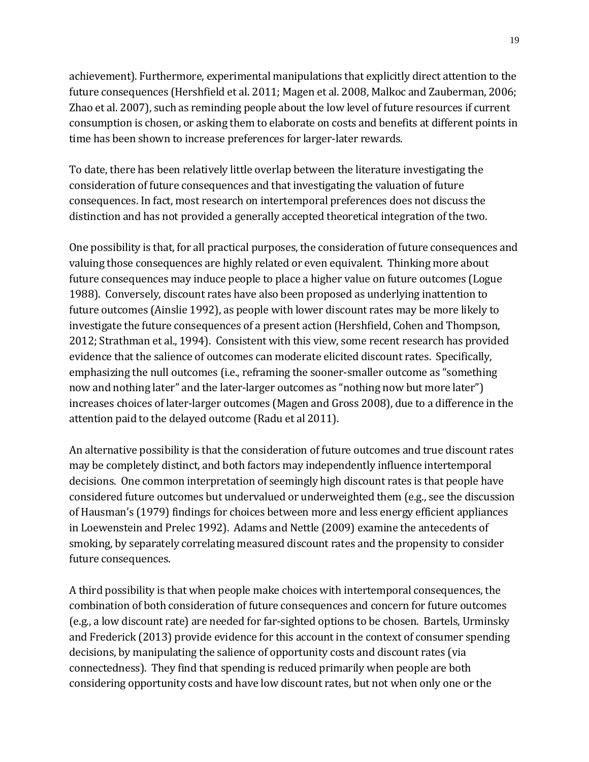achievement). Furthermore, experimental manipulations that explicitly direct attention to the future consequences (Hershfield et al. 2011; Magen et al. 2008, Malkoc and Zauberman, 2006; Zhao et al. 2007), such as reminding people about the low level of future resources if current consumption is chosen, or asking them to elaborate on costs and benefits at different points in time has been shown to increase preferences for larger-later rewards.

To date, there has been relatively little overlap between the literature investigating the consideration of future consequences and that investigating the valuation of future consequences. In fact, most research on intertemporal preferences does not discuss the distinction and has not provided a generally accepted theoretical integration of the two.

One possibility is that, for all practical purposes, the consideration of future consequences and valuing those consequences are highly related or even equivalent. Thinking more about future consequences may induce people to place a higher value on future outcomes (Logue 1988). Conversely, discount rates have also been proposed as underlying inattention to future outcomes (Ainslie 1992), as people with lower discount rates may be more likely to investigate the future consequences of a present action (Hershfield, Cohen and Thompson, 2012; Strathman et al., 1994). Consistent with this view, some recent research has provided evidence that the salience of outcomes can moderate elicited discount rates. Specifically, emphasizing the null outcomes (i.e., reframing the sooner-smaller outcome as "something now and nothing later" and the later-larger outcomes as "nothing now but more later") increases choices of later-larger outcomes (Magen and Gross 2008), due to a difference in the attention paid to the delayed outcome (Radu et al 2011).

An alternative possibility is that the consideration of future outcomes and true discount rates may be completely distinct, and both factors may independently influence intertemporal decisions. One common interpretation of seemingly high discount rates is that people have considered future outcomes but undervalued or underweighted them (e.g., see the discussion of Hausman's (1979) findings for choices between more and less energy efficient appliances in Loewenstein and Prelec 1992). Adams and Nettle (2009) examine the antecedents of smoking, by separately correlating measured discount rates and the propensity to consider future consequences.

A third possibility is that when people make choices with intertemporal consequences, the combination of both consideration of future consequences and concern for future outcomes (e.g., a low discount rate) are needed for far-sighted options to be chosen. Bartels, Urminsky and Frederick (2013) provide evidence for this account in the context of consumer spending decisions, by manipulating the salience of opportunity costs and discount rates (via connectedness). They find that spending is reduced primarily when people are both considering opportunity costs and have low discount rates, but not when only one or the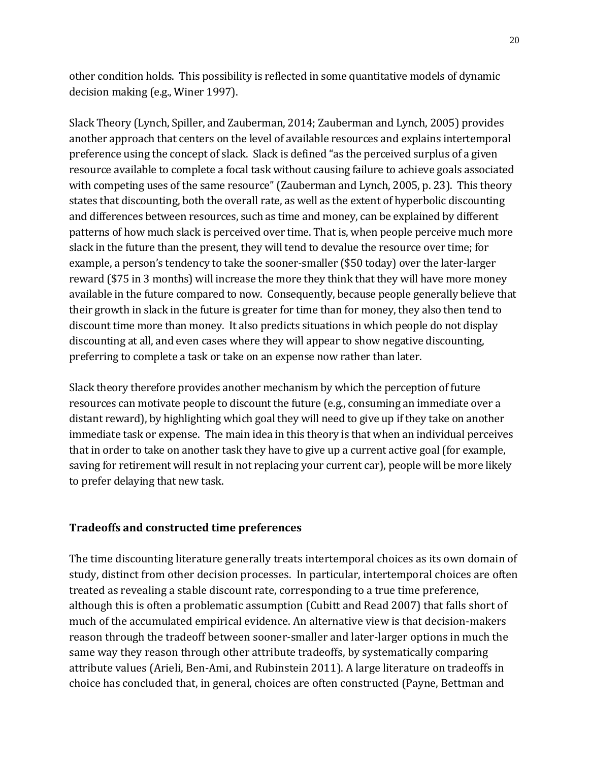other condition holds. This possibility is reflected in some quantitative models of dynamic decision making (e.g., Winer 1997).

Slack Theory (Lynch, Spiller, and Zauberman, 2014; Zauberman and Lynch, 2005) provides another approach that centers on the level of available resources and explains intertemporal preference using the concept of slack. Slack is defined "as the perceived surplus of a given resource available to complete a focal task without causing failure to achieve goals associated with competing uses of the same resource" (Zauberman and Lynch, 2005, p. 23). This theory states that discounting, both the overall rate, as well as the extent of hyperbolic discounting and differences between resources, such as time and money, can be explained by different patterns of how much slack is perceived over time. That is, when people perceive much more slack in the future than the present, they will tend to devalue the resource over time; for example, a person's tendency to take the sooner-smaller (\$50 today) over the later-larger reward (\$75 in 3 months) will increase the more they think that they will have more money available in the future compared to now. Consequently, because people generally believe that their growth in slack in the future is greater for time than for money, they also then tend to discount time more than money. It also predicts situations in which people do not display discounting at all, and even cases where they will appear to show negative discounting, preferring to complete a task or take on an expense now rather than later.

Slack theory therefore provides another mechanism by which the perception of future resources can motivate people to discount the future (e.g., consuming an immediate over a distant reward), by highlighting which goal they will need to give up if they take on another immediate task or expense. The main idea in this theory is that when an individual perceives that in order to take on another task they have to give up a current active goal (for example, saving for retirement will result in not replacing your current car), people will be more likely to prefer delaying that new task.

## **Tradeoffs and constructed time preferences**

The time discounting literature generally treats intertemporal choices as its own domain of study, distinct from other decision processes. In particular, intertemporal choices are often treated as revealing a stable discount rate, corresponding to a true time preference, although this is often a problematic assumption (Cubitt and Read 2007) that falls short of much of the accumulated empirical evidence. An alternative view is that decision-makers reason through the tradeoff between sooner-smaller and later-larger options in much the same way they reason through other attribute tradeoffs, by systematically comparing attribute values (Arieli, Ben-Ami, and Rubinstein 2011). A large literature on tradeoffs in choice has concluded that, in general, choices are often constructed (Payne, Bettman and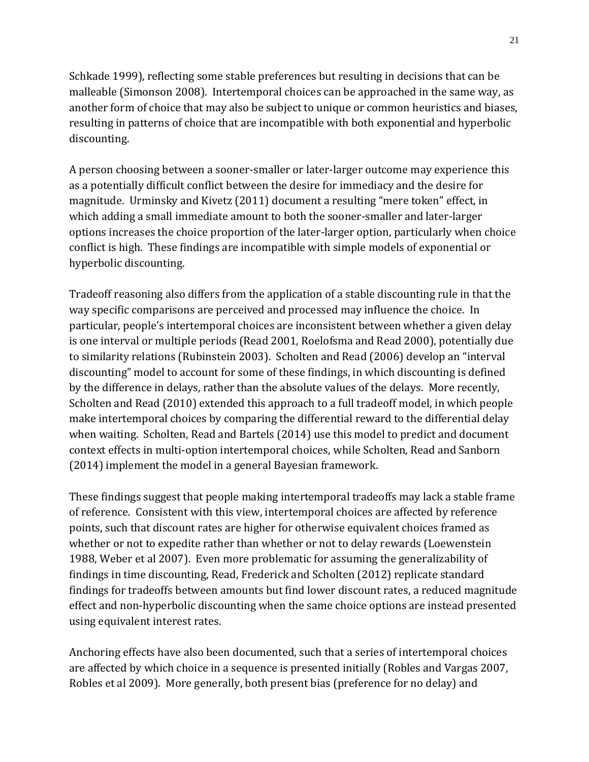Schkade 1999), reflecting some stable preferences but resulting in decisions that can be malleable (Simonson 2008). Intertemporal choices can be approached in the same way, as another form of choice that may also be subject to unique or common heuristics and biases, resulting in patterns of choice that are incompatible with both exponential and hyperbolic discounting.

A person choosing between a sooner-smaller or later-larger outcome may experience this as a potentially difficult conflict between the desire for immediacy and the desire for magnitude. Urminsky and Kivetz (2011) document a resulting "mere token" effect, in which adding a small immediate amount to both the sooner-smaller and later-larger options increases the choice proportion of the later-larger option, particularly when choice conflict is high. These findings are incompatible with simple models of exponential or hyperbolic discounting.

Tradeoff reasoning also differs from the application of a stable discounting rule in that the way specific comparisons are perceived and processed may influence the choice. In particular, people's intertemporal choices are inconsistent between whether a given delay is one interval or multiple periods (Read 2001, Roelofsma and Read 2000), potentially due to similarity relations (Rubinstein 2003). Scholten and Read (2006) develop an "interval discounting" model to account for some of these findings, in which discounting is defined by the difference in delays, rather than the absolute values of the delays. More recently, Scholten and Read (2010) extended this approach to a full tradeoff model, in which people make intertemporal choices by comparing the differential reward to the differential delay when waiting. Scholten, Read and Bartels (2014) use this model to predict and document context effects in multi-option intertemporal choices, while Scholten, Read and Sanborn (2014) implement the model in a general Bayesian framework.

These findings suggest that people making intertemporal tradeoffs may lack a stable frame of reference. Consistent with this view, intertemporal choices are affected by reference points, such that discount rates are higher for otherwise equivalent choices framed as whether or not to expedite rather than whether or not to delay rewards (Loewenstein 1988, Weber et al 2007). Even more problematic for assuming the generalizability of findings in time discounting, Read, Frederick and Scholten (2012) replicate standard findings for tradeoffs between amounts but find lower discount rates, a reduced magnitude effect and non-hyperbolic discounting when the same choice options are instead presented using equivalent interest rates.

Anchoring effects have also been documented, such that a series of intertemporal choices are affected by which choice in a sequence is presented initially (Robles and Vargas 2007, Robles et al 2009). More generally, both present bias (preference for no delay) and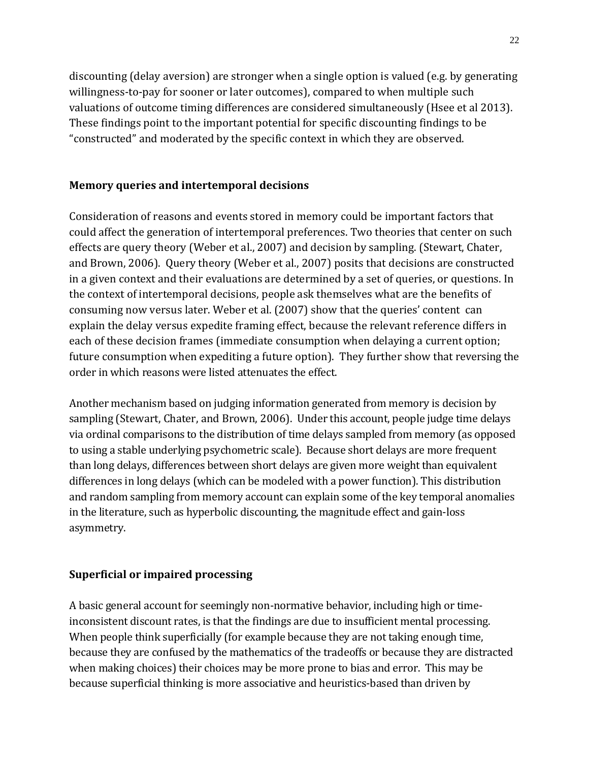discounting (delay aversion) are stronger when a single option is valued (e.g. by generating willingness-to-pay for sooner or later outcomes), compared to when multiple such valuations of outcome timing differences are considered simultaneously (Hsee et al 2013). These findings point to the important potential for specific discounting findings to be "constructed" and moderated by the specific context in which they are observed.

# **Memory queries and intertemporal decisions**

Consideration of reasons and events stored in memory could be important factors that could affect the generation of intertemporal preferences. Two theories that center on such effects are query theory (Weber et al., 2007) and decision by sampling. (Stewart, Chater, and Brown, 2006). Query theory (Weber et al., 2007) posits that decisions are constructed in a given context and their evaluations are determined by a set of queries, or questions. In the context of intertemporal decisions, people ask themselves what are the benefits of consuming now versus later. Weber et al. (2007) show that the queries' content can explain the delay versus expedite framing effect, because the relevant reference differs in each of these decision frames (immediate consumption when delaying a current option; future consumption when expediting a future option). They further show that reversing the order in which reasons were listed attenuates the effect.

Another mechanism based on judging information generated from memory is decision by sampling (Stewart, Chater, and Brown, 2006). Under this account, people judge time delays via ordinal comparisons to the distribution of time delays sampled from memory (as opposed to using a stable underlying psychometric scale). Because short delays are more frequent than long delays, differences between short delays are given more weight than equivalent differences in long delays (which can be modeled with a power function). This distribution and random sampling from memory account can explain some of the key temporal anomalies in the literature, such as hyperbolic discounting, the magnitude effect and gain-loss asymmetry.

## **Superficial or impaired processing**

A basic general account for seemingly non-normative behavior, including high or timeinconsistent discount rates, is that the findings are due to insufficient mental processing. When people think superficially (for example because they are not taking enough time, because they are confused by the mathematics of the tradeoffs or because they are distracted when making choices) their choices may be more prone to bias and error. This may be because superficial thinking is more associative and heuristics-based than driven by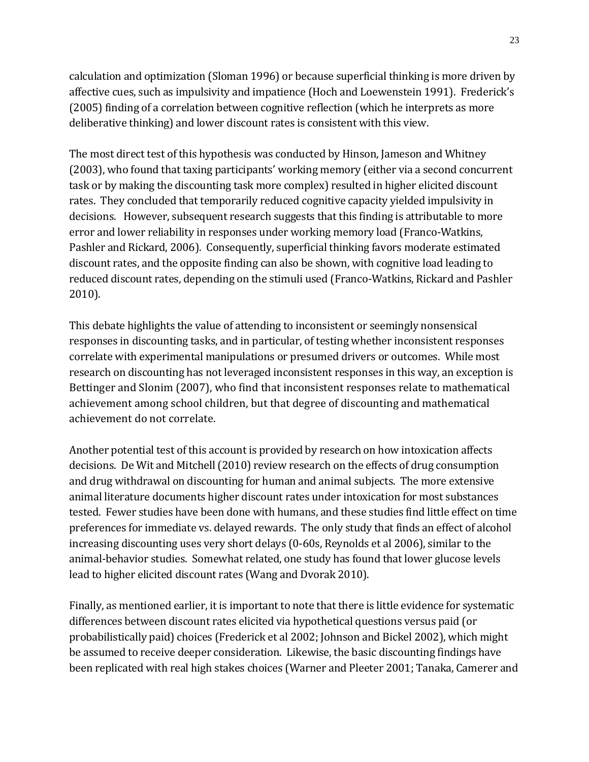calculation and optimization (Sloman 1996) or because superficial thinking is more driven by affective cues, such as impulsivity and impatience (Hoch and Loewenstein 1991). Frederick's (2005) finding of a correlation between cognitive reflection (which he interprets as more deliberative thinking) and lower discount rates is consistent with this view.

The most direct test of this hypothesis was conducted by Hinson, Jameson and Whitney (2003), who found that taxing participants' working memory (either via a second concurrent task or by making the discounting task more complex) resulted in higher elicited discount rates. They concluded that temporarily reduced cognitive capacity yielded impulsivity in decisions. However, subsequent research suggests that this finding is attributable to more error and lower reliability in responses under working memory load (Franco-Watkins, Pashler and Rickard, 2006). Consequently, superficial thinking favors moderate estimated discount rates, and the opposite finding can also be shown, with cognitive load leading to reduced discount rates, depending on the stimuli used (Franco-Watkins, Rickard and Pashler 2010).

This debate highlights the value of attending to inconsistent or seemingly nonsensical responses in discounting tasks, and in particular, of testing whether inconsistent responses correlate with experimental manipulations or presumed drivers or outcomes. While most research on discounting has not leveraged inconsistent responses in this way, an exception is Bettinger and Slonim (2007), who find that inconsistent responses relate to mathematical achievement among school children, but that degree of discounting and mathematical achievement do not correlate.

Another potential test of this account is provided by research on how intoxication affects decisions. De Wit and Mitchell (2010) review research on the effects of drug consumption and drug withdrawal on discounting for human and animal subjects. The more extensive animal literature documents higher discount rates under intoxication for most substances tested. Fewer studies have been done with humans, and these studies find little effect on time preferences for immediate vs. delayed rewards. The only study that finds an effect of alcohol increasing discounting uses very short delays (0-60s, Reynolds et al 2006), similar to the animal-behavior studies. Somewhat related, one study has found that lower glucose levels lead to higher elicited discount rates (Wang and Dvorak 2010).

Finally, as mentioned earlier, it is important to note that there is little evidence for systematic differences between discount rates elicited via hypothetical questions versus paid (or probabilistically paid) choices (Frederick et al 2002; Johnson and Bickel 2002), which might be assumed to receive deeper consideration. Likewise, the basic discounting findings have been replicated with real high stakes choices (Warner and Pleeter 2001; Tanaka, Camerer and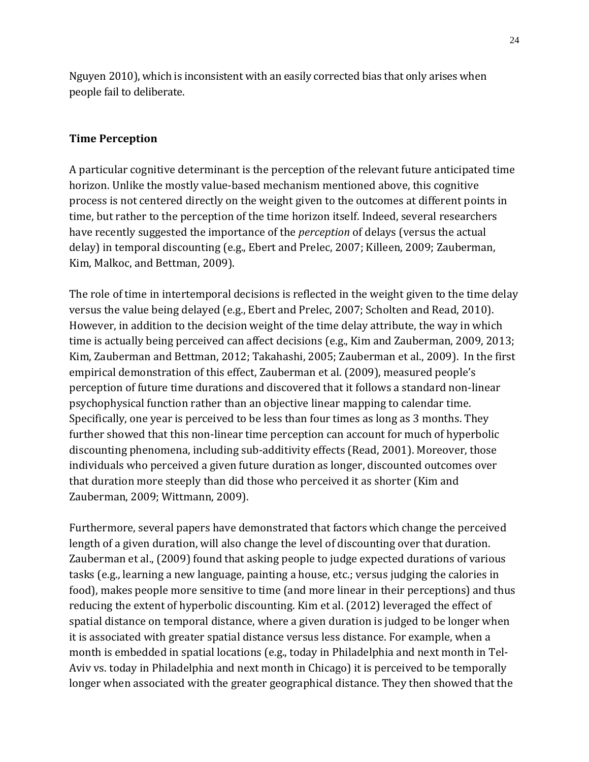Nguyen 2010), which is inconsistent with an easily corrected bias that only arises when people fail to deliberate.

## **Time Perception**

A particular cognitive determinant is the perception of the relevant future anticipated time horizon. Unlike the mostly value-based mechanism mentioned above, this cognitive process is not centered directly on the weight given to the outcomes at different points in time, but rather to the perception of the time horizon itself. Indeed, several researchers have recently suggested the importance of the *perception* of delays (versus the actual delay) in temporal discounting (e.g., Ebert and Prelec, 2007; Killeen, 2009; Zauberman, Kim, Malkoc, and Bettman, 2009).

The role of time in intertemporal decisions is reflected in the weight given to the time delay versus the value being delayed (e.g., Ebert and Prelec, 2007; Scholten and Read, 2010). However, in addition to the decision weight of the time delay attribute, the way in which time is actually being perceived can affect decisions (e.g., Kim and Zauberman, 2009, 2013; Kim, Zauberman and Bettman, 2012; Takahashi, 2005; Zauberman et al., 2009). In the first empirical demonstration of this effect, Zauberman et al. (2009), measured people's perception of future time durations and discovered that it follows a standard non-linear psychophysical function rather than an objective linear mapping to calendar time. Specifically, one year is perceived to be less than four times as long as 3 months. They further showed that this non-linear time perception can account for much of hyperbolic discounting phenomena, including sub-additivity effects (Read, 2001). Moreover, those individuals who perceived a given future duration as longer, discounted outcomes over that duration more steeply than did those who perceived it as shorter (Kim and Zauberman, 2009; Wittmann, 2009).

Furthermore, several papers have demonstrated that factors which change the perceived length of a given duration, will also change the level of discounting over that duration. Zauberman et al., (2009) found that asking people to judge expected durations of various tasks (e.g., learning a new language, painting a house, etc.; versus judging the calories in food), makes people more sensitive to time (and more linear in their perceptions) and thus reducing the extent of hyperbolic discounting. Kim et al. (2012) leveraged the effect of spatial distance on temporal distance, where a given duration is judged to be longer when it is associated with greater spatial distance versus less distance. For example, when a month is embedded in spatial locations (e.g., today in Philadelphia and next month in Tel-Aviv vs. today in Philadelphia and next month in Chicago) it is perceived to be temporally longer when associated with the greater geographical distance. They then showed that the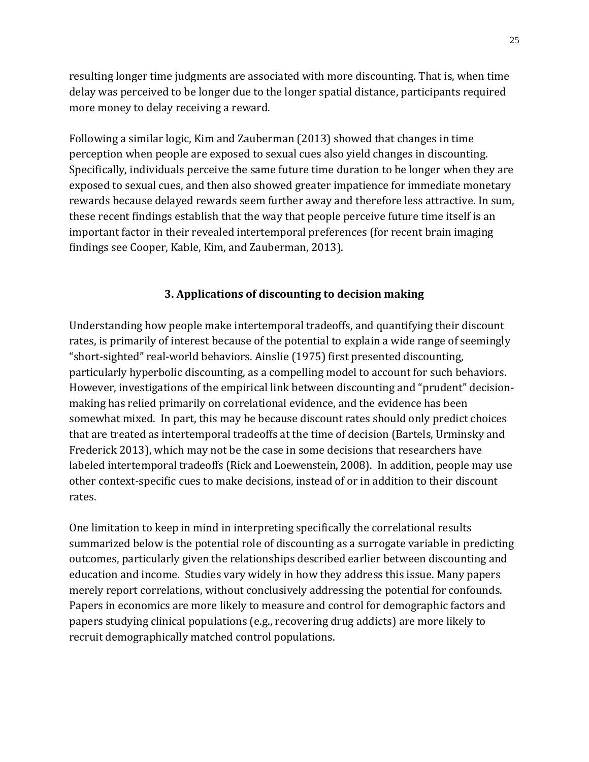resulting longer time judgments are associated with more discounting. That is, when time delay was perceived to be longer due to the longer spatial distance, participants required more money to delay receiving a reward.

Following a similar logic, Kim and Zauberman (2013) showed that changes in time perception when people are exposed to sexual cues also yield changes in discounting. Specifically, individuals perceive the same future time duration to be longer when they are exposed to sexual cues, and then also showed greater impatience for immediate monetary rewards because delayed rewards seem further away and therefore less attractive. In sum, these recent findings establish that the way that people perceive future time itself is an important factor in their revealed intertemporal preferences (for recent brain imaging findings see Cooper, Kable, Kim, and Zauberman, 2013).

# **3. Applications of discounting to decision making**

Understanding how people make intertemporal tradeoffs, and quantifying their discount rates, is primarily of interest because of the potential to explain a wide range of seemingly "short-sighted" real-world behaviors. Ainslie (1975) first presented discounting, particularly hyperbolic discounting, as a compelling model to account for such behaviors. However, investigations of the empirical link between discounting and "prudent" decisionmaking has relied primarily on correlational evidence, and the evidence has been somewhat mixed. In part, this may be because discount rates should only predict choices that are treated as intertemporal tradeoffs at the time of decision (Bartels, Urminsky and Frederick 2013), which may not be the case in some decisions that researchers have labeled intertemporal tradeoffs (Rick and Loewenstein, 2008). In addition, people may use other context-specific cues to make decisions, instead of or in addition to their discount rates.

One limitation to keep in mind in interpreting specifically the correlational results summarized below is the potential role of discounting as a surrogate variable in predicting outcomes, particularly given the relationships described earlier between discounting and education and income. Studies vary widely in how they address this issue. Many papers merely report correlations, without conclusively addressing the potential for confounds. Papers in economics are more likely to measure and control for demographic factors and papers studying clinical populations (e.g., recovering drug addicts) are more likely to recruit demographically matched control populations.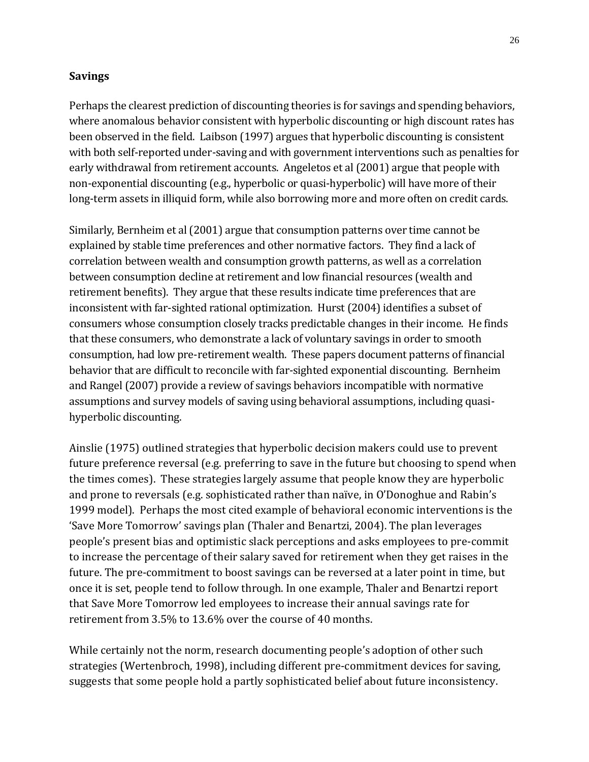### **Savings**

Perhaps the clearest prediction of discounting theories is for savings and spending behaviors, where anomalous behavior consistent with hyperbolic discounting or high discount rates has been observed in the field. Laibson (1997) argues that hyperbolic discounting is consistent with both self-reported under-saving and with government interventions such as penalties for early withdrawal from retirement accounts. Angeletos et al (2001) argue that people with non-exponential discounting (e.g., hyperbolic or quasi-hyperbolic) will have more of their long-term assets in illiquid form, while also borrowing more and more often on credit cards.

Similarly, Bernheim et al (2001) argue that consumption patterns over time cannot be explained by stable time preferences and other normative factors. They find a lack of correlation between wealth and consumption growth patterns, as well as a correlation between consumption decline at retirement and low financial resources (wealth and retirement benefits). They argue that these results indicate time preferences that are inconsistent with far-sighted rational optimization. Hurst (2004) identifies a subset of consumers whose consumption closely tracks predictable changes in their income. He finds that these consumers, who demonstrate a lack of voluntary savings in order to smooth consumption, had low pre-retirement wealth. These papers document patterns of financial behavior that are difficult to reconcile with far-sighted exponential discounting. Bernheim and Rangel (2007) provide a review of savings behaviors incompatible with normative assumptions and survey models of saving using behavioral assumptions, including quasihyperbolic discounting.

Ainslie (1975) outlined strategies that hyperbolic decision makers could use to prevent future preference reversal (e.g. preferring to save in the future but choosing to spend when the times comes). These strategies largely assume that people know they are hyperbolic and prone to reversals (e.g. sophisticated rather than naïve, in O'Donoghue and Rabin's 1999 model). Perhaps the most cited example of behavioral economic interventions is the 'Save More Tomorrow' savings plan (Thaler and Benartzi, 2004). The plan leverages people's present bias and optimistic slack perceptions and asks employees to pre-commit to increase the percentage of their salary saved for retirement when they get raises in the future. The pre-commitment to boost savings can be reversed at a later point in time, but once it is set, people tend to follow through. In one example, Thaler and Benartzi report that Save More Tomorrow led employees to increase their annual savings rate for retirement from 3.5% to 13.6% over the course of 40 months.

While certainly not the norm, research documenting people's adoption of other such strategies (Wertenbroch, 1998), including different pre-commitment devices for saving, suggests that some people hold a partly sophisticated belief about future inconsistency.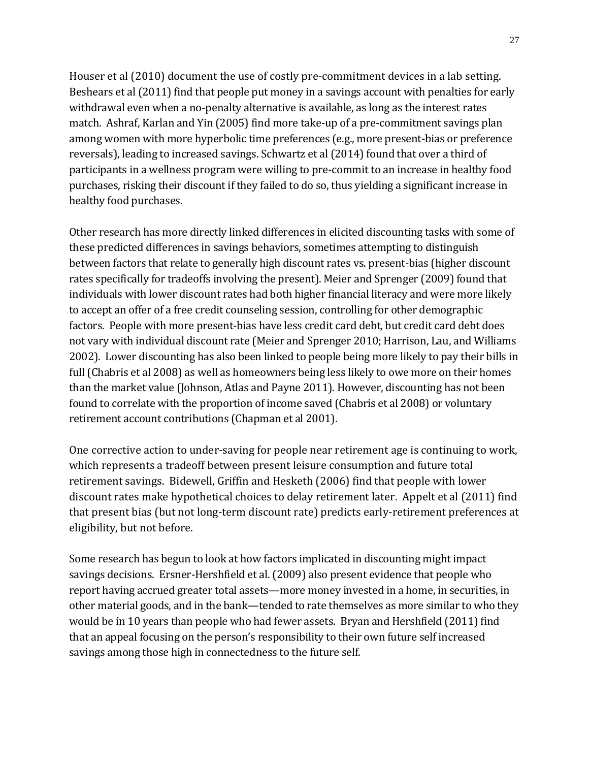Houser et al (2010) document the use of costly pre-commitment devices in a lab setting. Beshears et al (2011) find that people put money in a savings account with penalties for early withdrawal even when a no-penalty alternative is available, as long as the interest rates match. Ashraf, Karlan and Yin (2005) find more take-up of a pre-commitment savings plan among women with more hyperbolic time preferences (e.g., more present-bias or preference reversals), leading to increased savings. Schwartz et al (2014) found that over a third of participants in a wellness program were willing to pre-commit to an increase in healthy food purchases, risking their discount if they failed to do so, thus yielding a significant increase in healthy food purchases.

Other research has more directly linked differences in elicited discounting tasks with some of these predicted differences in savings behaviors, sometimes attempting to distinguish between factors that relate to generally high discount rates vs. present-bias (higher discount rates specifically for tradeoffs involving the present). Meier and Sprenger (2009) found that individuals with lower discount rates had both higher financial literacy and were more likely to accept an offer of a free credit counseling session, controlling for other demographic factors. People with more present-bias have less credit card debt, but credit card debt does not vary with individual discount rate (Meier and Sprenger 2010; Harrison, Lau, and Williams 2002). Lower discounting has also been linked to people being more likely to pay their bills in full (Chabris et al 2008) as well as homeowners being less likely to owe more on their homes than the market value (Johnson, Atlas and Payne 2011). However, discounting has not been found to correlate with the proportion of income saved (Chabris et al 2008) or voluntary retirement account contributions (Chapman et al 2001).

One corrective action to under-saving for people near retirement age is continuing to work, which represents a tradeoff between present leisure consumption and future total retirement savings. Bidewell, Griffin and Hesketh (2006) find that people with lower discount rates make hypothetical choices to delay retirement later. Appelt et al (2011) find that present bias (but not long-term discount rate) predicts early-retirement preferences at eligibility, but not before.

Some research has begun to look at how factors implicated in discounting might impact savings decisions. Ersner-Hershfield et al. (2009) also present evidence that people who report having accrued greater total assets—more money invested in a home, in securities, in other material goods, and in the bank—tended to rate themselves as more similar to who they would be in 10 years than people who had fewer assets. Bryan and Hershfield (2011) find that an appeal focusing on the person's responsibility to their own future self increased savings among those high in connectedness to the future self.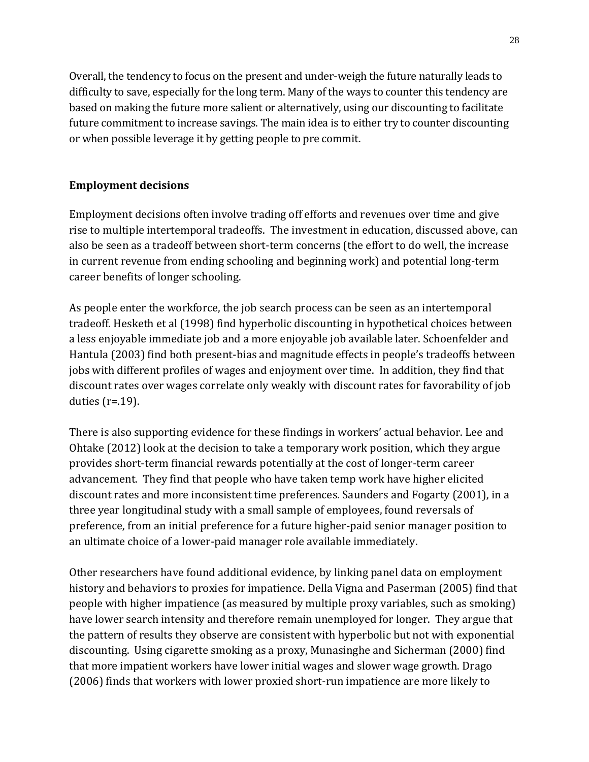Overall, the tendency to focus on the present and under-weigh the future naturally leads to difficulty to save, especially for the long term. Many of the ways to counter this tendency are based on making the future more salient or alternatively, using our discounting to facilitate future commitment to increase savings. The main idea is to either try to counter discounting or when possible leverage it by getting people to pre commit.

# **Employment decisions**

Employment decisions often involve trading off efforts and revenues over time and give rise to multiple intertemporal tradeoffs. The investment in education, discussed above, can also be seen as a tradeoff between short-term concerns (the effort to do well, the increase in current revenue from ending schooling and beginning work) and potential long-term career benefits of longer schooling.

As people enter the workforce, the job search process can be seen as an intertemporal tradeoff. Hesketh et al (1998) find hyperbolic discounting in hypothetical choices between a less enjoyable immediate job and a more enjoyable job available later. Schoenfelder and Hantula (2003) find both present-bias and magnitude effects in people's tradeoffs between jobs with different profiles of wages and enjoyment over time. In addition, they find that discount rates over wages correlate only weakly with discount rates for favorability of job duties  $(r=.19)$ .

There is also supporting evidence for these findings in workers' actual behavior. Lee and Ohtake (2012) look at the decision to take a temporary work position, which they argue provides short-term financial rewards potentially at the cost of longer-term career advancement. They find that people who have taken temp work have higher elicited discount rates and more inconsistent time preferences. Saunders and Fogarty (2001), in a three year longitudinal study with a small sample of employees, found reversals of preference, from an initial preference for a future higher-paid senior manager position to an ultimate choice of a lower-paid manager role available immediately.

Other researchers have found additional evidence, by linking panel data on employment history and behaviors to proxies for impatience. Della Vigna and Paserman (2005) find that people with higher impatience (as measured by multiple proxy variables, such as smoking) have lower search intensity and therefore remain unemployed for longer. They argue that the pattern of results they observe are consistent with hyperbolic but not with exponential discounting. Using cigarette smoking as a proxy, Munasinghe and Sicherman (2000) find that more impatient workers have lower initial wages and slower wage growth. Drago (2006) finds that workers with lower proxied short-run impatience are more likely to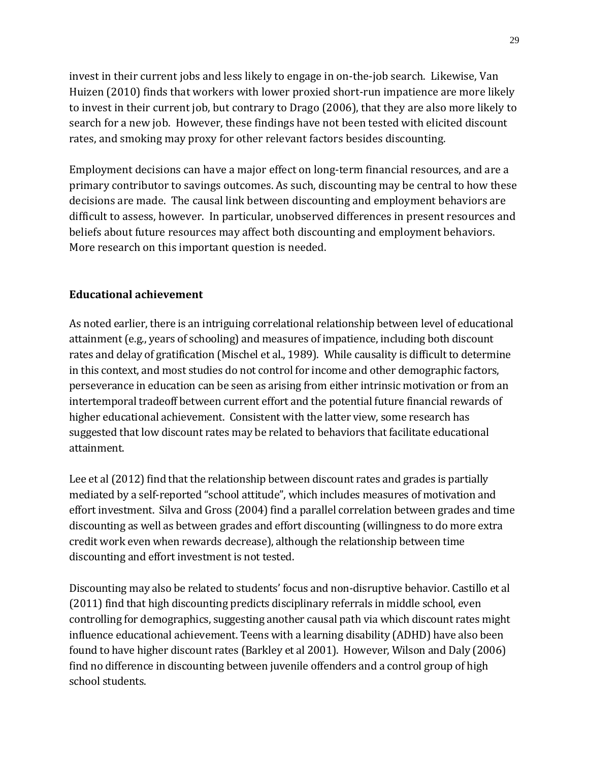invest in their current jobs and less likely to engage in on-the-job search. Likewise, Van Huizen (2010) finds that workers with lower proxied short-run impatience are more likely to invest in their current job, but contrary to Drago (2006), that they are also more likely to search for a new job. However, these findings have not been tested with elicited discount rates, and smoking may proxy for other relevant factors besides discounting.

Employment decisions can have a major effect on long-term financial resources, and are a primary contributor to savings outcomes. As such, discounting may be central to how these decisions are made. The causal link between discounting and employment behaviors are difficult to assess, however. In particular, unobserved differences in present resources and beliefs about future resources may affect both discounting and employment behaviors. More research on this important question is needed.

## **Educational achievement**

As noted earlier, there is an intriguing correlational relationship between level of educational attainment (e.g., years of schooling) and measures of impatience, including both discount rates and delay of gratification (Mischel et al., 1989). While causality is difficult to determine in this context, and most studies do not control for income and other demographic factors, perseverance in education can be seen as arising from either intrinsic motivation or from an intertemporal tradeoff between current effort and the potential future financial rewards of higher educational achievement. Consistent with the latter view, some research has suggested that low discount rates may be related to behaviors that facilitate educational attainment.

Lee et al (2012) find that the relationship between discount rates and grades is partially mediated by a self-reported "school attitude", which includes measures of motivation and effort investment. Silva and Gross (2004) find a parallel correlation between grades and time discounting as well as between grades and effort discounting (willingness to do more extra credit work even when rewards decrease), although the relationship between time discounting and effort investment is not tested.

Discounting may also be related to students' focus and non-disruptive behavior. Castillo et al (2011) find that high discounting predicts disciplinary referrals in middle school, even controlling for demographics, suggesting another causal path via which discount rates might influence educational achievement. Teens with a learning disability (ADHD) have also been found to have higher discount rates (Barkley et al 2001). However, Wilson and Daly (2006) find no difference in discounting between juvenile offenders and a control group of high school students.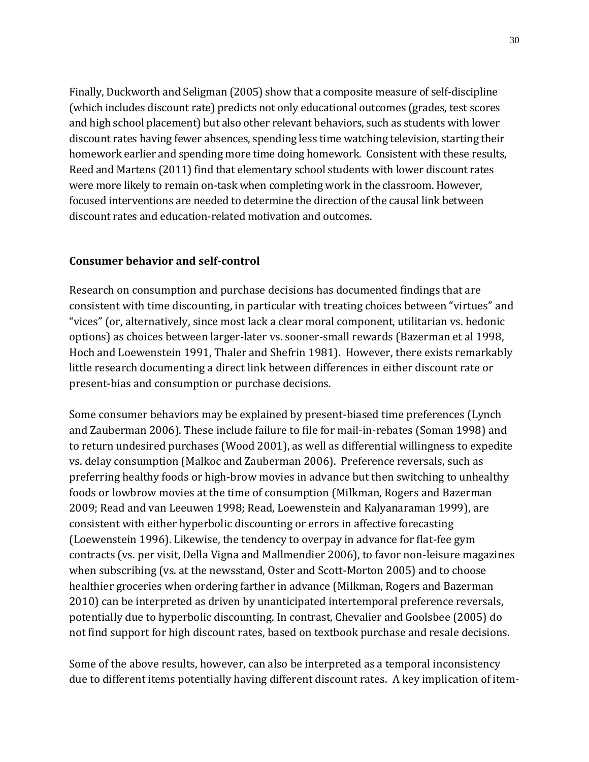Finally, Duckworth and Seligman (2005) show that a composite measure of self-discipline (which includes discount rate) predicts not only educational outcomes (grades, test scores and high school placement) but also other relevant behaviors, such as students with lower discount rates having fewer absences, spending less time watching television, starting their homework earlier and spending more time doing homework. Consistent with these results, Reed and Martens (2011) find that elementary school students with lower discount rates were more likely to remain on-task when completing work in the classroom. However, focused interventions are needed to determine the direction of the causal link between discount rates and education-related motivation and outcomes.

## **Consumer behavior and self-control**

Research on consumption and purchase decisions has documented findings that are consistent with time discounting, in particular with treating choices between "virtues" and "vices" (or, alternatively, since most lack a clear moral component, utilitarian vs. hedonic options) as choices between larger-later vs. sooner-small rewards (Bazerman et al 1998, Hoch and Loewenstein 1991, Thaler and Shefrin 1981). However, there exists remarkably little research documenting a direct link between differences in either discount rate or present-bias and consumption or purchase decisions.

Some consumer behaviors may be explained by present-biased time preferences (Lynch and Zauberman 2006). These include failure to file for mail-in-rebates (Soman 1998) and to return undesired purchases (Wood 2001), as well as differential willingness to expedite vs. delay consumption (Malkoc and Zauberman 2006). Preference reversals, such as preferring healthy foods or high-brow movies in advance but then switching to unhealthy foods or lowbrow movies at the time of consumption (Milkman, Rogers and Bazerman 2009; Read and van Leeuwen 1998; Read, Loewenstein and Kalyanaraman 1999), are consistent with either hyperbolic discounting or errors in affective forecasting (Loewenstein 1996). Likewise, the tendency to overpay in advance for flat-fee gym contracts (vs. per visit, Della Vigna and Mallmendier 2006), to favor non-leisure magazines when subscribing (vs. at the newsstand, Oster and Scott-Morton 2005) and to choose healthier groceries when ordering farther in advance (Milkman, Rogers and Bazerman 2010) can be interpreted as driven by unanticipated intertemporal preference reversals, potentially due to hyperbolic discounting. In contrast, Chevalier and Goolsbee (2005) do not find support for high discount rates, based on textbook purchase and resale decisions.

Some of the above results, however, can also be interpreted as a temporal inconsistency due to different items potentially having different discount rates. A key implication of item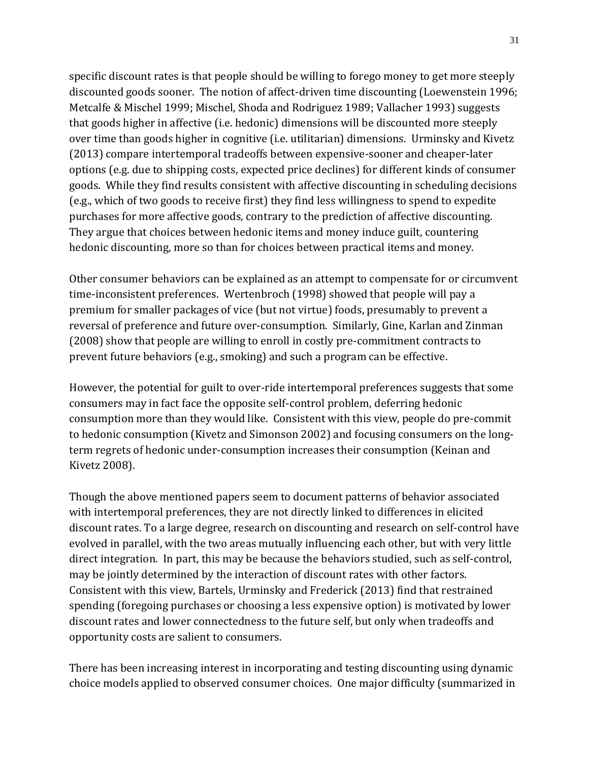specific discount rates is that people should be willing to forego money to get more steeply discounted goods sooner. The notion of affect-driven time discounting (Loewenstein 1996; Metcalfe & Mischel 1999; Mischel, Shoda and Rodriguez 1989; Vallacher 1993) suggests that goods higher in affective (i.e. hedonic) dimensions will be discounted more steeply over time than goods higher in cognitive (i.e. utilitarian) dimensions. Urminsky and Kivetz (2013) compare intertemporal tradeoffs between expensive-sooner and cheaper-later options (e.g. due to shipping costs, expected price declines) for different kinds of consumer goods. While they find results consistent with affective discounting in scheduling decisions (e.g., which of two goods to receive first) they find less willingness to spend to expedite purchases for more affective goods, contrary to the prediction of affective discounting. They argue that choices between hedonic items and money induce guilt, countering hedonic discounting, more so than for choices between practical items and money.

Other consumer behaviors can be explained as an attempt to compensate for or circumvent time-inconsistent preferences. Wertenbroch (1998) showed that people will pay a premium for smaller packages of vice (but not virtue) foods, presumably to prevent a reversal of preference and future over-consumption. Similarly, Gine, Karlan and Zinman (2008) show that people are willing to enroll in costly pre-commitment contracts to prevent future behaviors (e.g., smoking) and such a program can be effective.

However, the potential for guilt to over-ride intertemporal preferences suggests that some consumers may in fact face the opposite self-control problem, deferring hedonic consumption more than they would like. Consistent with this view, people do pre-commit to hedonic consumption (Kivetz and Simonson 2002) and focusing consumers on the longterm regrets of hedonic under-consumption increases their consumption (Keinan and Kivetz 2008).

Though the above mentioned papers seem to document patterns of behavior associated with intertemporal preferences, they are not directly linked to differences in elicited discount rates. To a large degree, research on discounting and research on self-control have evolved in parallel, with the two areas mutually influencing each other, but with very little direct integration. In part, this may be because the behaviors studied, such as self-control, may be jointly determined by the interaction of discount rates with other factors. Consistent with this view, Bartels, Urminsky and Frederick (2013) find that restrained spending (foregoing purchases or choosing a less expensive option) is motivated by lower discount rates and lower connectedness to the future self, but only when tradeoffs and opportunity costs are salient to consumers.

There has been increasing interest in incorporating and testing discounting using dynamic choice models applied to observed consumer choices. One major difficulty (summarized in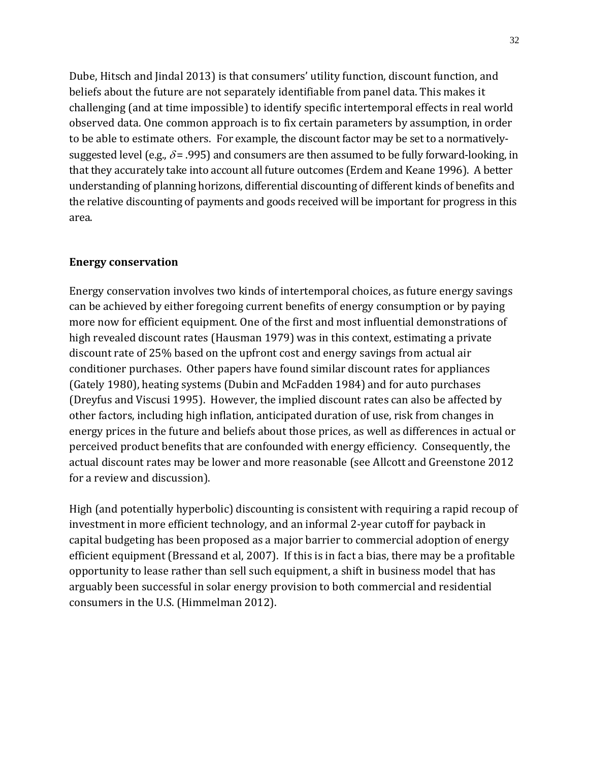Dube, Hitsch and Jindal 2013) is that consumers' utility function, discount function, and beliefs about the future are not separately identifiable from panel data. This makes it challenging (and at time impossible) to identify specific intertemporal effects in real world observed data. One common approach is to fix certain parameters by assumption, in order to be able to estimate others. For example, the discount factor may be set to a normativelysuggested level (e.g.,  $\delta$  = .995) and consumers are then assumed to be fully forward-looking, in that they accurately take into account all future outcomes (Erdem and Keane 1996). A better understanding of planning horizons, differential discounting of different kinds of benefits and the relative discounting of payments and goods received will be important for progress in this area.

### **Energy conservation**

Energy conservation involves two kinds of intertemporal choices, as future energy savings can be achieved by either foregoing current benefits of energy consumption or by paying more now for efficient equipment. One of the first and most influential demonstrations of high revealed discount rates (Hausman 1979) was in this context, estimating a private discount rate of 25% based on the upfront cost and energy savings from actual air conditioner purchases. Other papers have found similar discount rates for appliances (Gately 1980), heating systems (Dubin and McFadden 1984) and for auto purchases (Dreyfus and Viscusi 1995). However, the implied discount rates can also be affected by other factors, including high inflation, anticipated duration of use, risk from changes in energy prices in the future and beliefs about those prices, as well as differences in actual or perceived product benefits that are confounded with energy efficiency. Consequently, the actual discount rates may be lower and more reasonable (see Allcott and Greenstone 2012 for a review and discussion).

High (and potentially hyperbolic) discounting is consistent with requiring a rapid recoup of investment in more efficient technology, and an informal 2-year cutoff for payback in capital budgeting has been proposed as a major barrier to commercial adoption of energy efficient equipment (Bressand et al, 2007). If this is in fact a bias, there may be a profitable opportunity to lease rather than sell such equipment, a shift in business model that has arguably been successful in solar energy provision to both commercial and residential consumers in the U.S. (Himmelman 2012).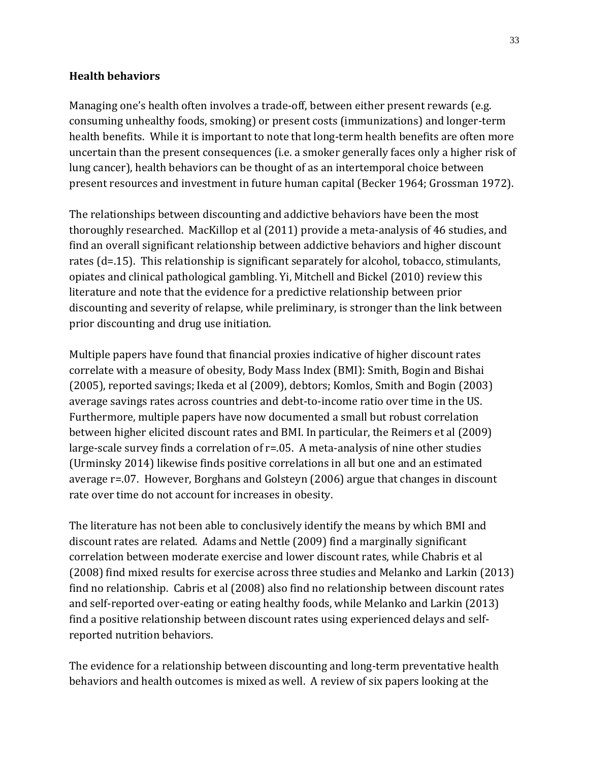### **Health behaviors**

Managing one's health often involves a trade-off, between either present rewards (e.g. consuming unhealthy foods, smoking) or present costs (immunizations) and longer-term health benefits. While it is important to note that long-term health benefits are often more uncertain than the present consequences (i.e. a smoker generally faces only a higher risk of lung cancer), health behaviors can be thought of as an intertemporal choice between present resources and investment in future human capital (Becker 1964; Grossman 1972).

The relationships between discounting and addictive behaviors have been the most thoroughly researched. MacKillop et al (2011) provide a meta-analysis of 46 studies, and find an overall significant relationship between addictive behaviors and higher discount rates (d=.15). This relationship is significant separately for alcohol, tobacco, stimulants, opiates and clinical pathological gambling. Yi, Mitchell and Bickel (2010) review this literature and note that the evidence for a predictive relationship between prior discounting and severity of relapse, while preliminary, is stronger than the link between prior discounting and drug use initiation.

Multiple papers have found that financial proxies indicative of higher discount rates correlate with a measure of obesity, Body Mass Index (BMI): Smith, Bogin and Bishai (2005), reported savings; Ikeda et al (2009), debtors; Komlos, Smith and Bogin (2003) average savings rates across countries and debt-to-income ratio over time in the US. Furthermore, multiple papers have now documented a small but robust correlation between higher elicited discount rates and BMI. In particular, the Reimers et al (2009) large-scale survey finds a correlation of r=.05. A meta-analysis of nine other studies (Urminsky 2014) likewise finds positive correlations in all but one and an estimated average r=.07. However, Borghans and Golsteyn (2006) argue that changes in discount rate over time do not account for increases in obesity.

The literature has not been able to conclusively identify the means by which BMI and discount rates are related. Adams and Nettle (2009) find a marginally significant correlation between moderate exercise and lower discount rates, while Chabris et al (2008) find mixed results for exercise across three studies and Melanko and Larkin (2013) find no relationship. Cabris et al (2008) also find no relationship between discount rates and self-reported over-eating or eating healthy foods, while Melanko and Larkin (2013) find a positive relationship between discount rates using experienced delays and selfreported nutrition behaviors.

The evidence for a relationship between discounting and long-term preventative health behaviors and health outcomes is mixed as well. A review of six papers looking at the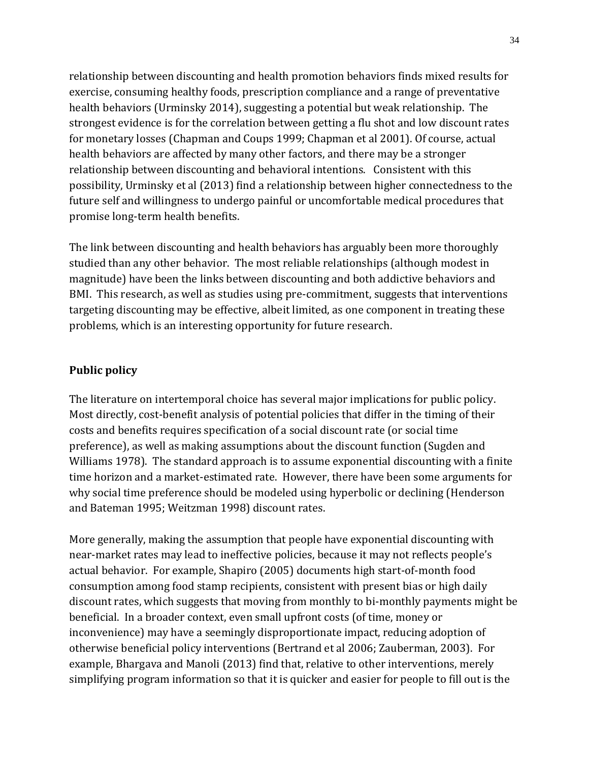relationship between discounting and health promotion behaviors finds mixed results for exercise, consuming healthy foods, prescription compliance and a range of preventative health behaviors (Urminsky 2014), suggesting a potential but weak relationship. The strongest evidence is for the correlation between getting a flu shot and low discount rates for monetary losses (Chapman and Coups 1999; Chapman et al 2001). Of course, actual health behaviors are affected by many other factors, and there may be a stronger relationship between discounting and behavioral intentions. Consistent with this possibility, Urminsky et al (2013) find a relationship between higher connectedness to the future self and willingness to undergo painful or uncomfortable medical procedures that promise long-term health benefits.

The link between discounting and health behaviors has arguably been more thoroughly studied than any other behavior. The most reliable relationships (although modest in magnitude) have been the links between discounting and both addictive behaviors and BMI. This research, as well as studies using pre-commitment, suggests that interventions targeting discounting may be effective, albeit limited, as one component in treating these problems, which is an interesting opportunity for future research.

## **Public policy**

The literature on intertemporal choice has several major implications for public policy. Most directly, cost-benefit analysis of potential policies that differ in the timing of their costs and benefits requires specification of a social discount rate (or social time preference), as well as making assumptions about the discount function (Sugden and Williams 1978). The standard approach is to assume exponential discounting with a finite time horizon and a market-estimated rate. However, there have been some arguments for why social time preference should be modeled using hyperbolic or declining (Henderson and Bateman 1995; Weitzman 1998) discount rates.

More generally, making the assumption that people have exponential discounting with near-market rates may lead to ineffective policies, because it may not reflects people's actual behavior. For example, Shapiro (2005) documents high start-of-month food consumption among food stamp recipients, consistent with present bias or high daily discount rates, which suggests that moving from monthly to bi-monthly payments might be beneficial. In a broader context, even small upfront costs (of time, money or inconvenience) may have a seemingly disproportionate impact, reducing adoption of otherwise beneficial policy interventions (Bertrand et al 2006; Zauberman, 2003). For example, Bhargava and Manoli (2013) find that, relative to other interventions, merely simplifying program information so that it is quicker and easier for people to fill out is the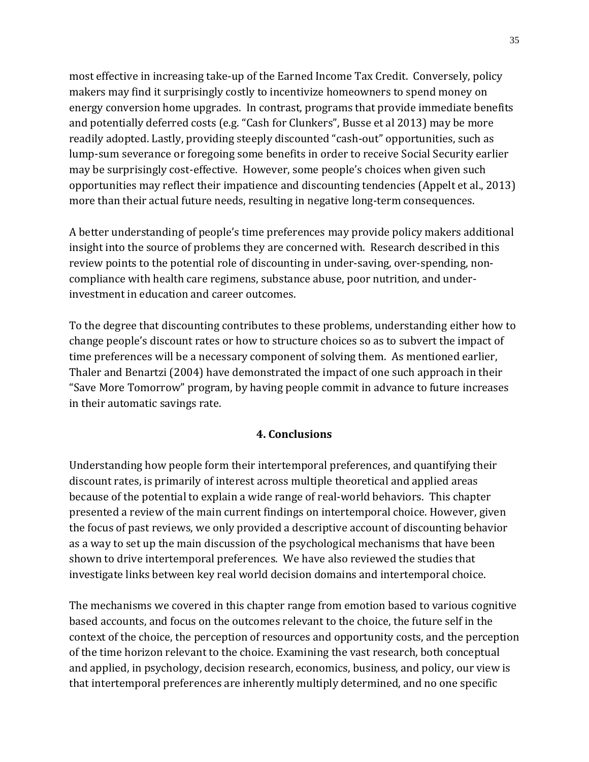most effective in increasing take-up of the Earned Income Tax Credit. Conversely, policy makers may find it surprisingly costly to incentivize homeowners to spend money on energy conversion home upgrades. In contrast, programs that provide immediate benefits and potentially deferred costs (e.g. "Cash for Clunkers", Busse et al 2013) may be more readily adopted. Lastly, providing steeply discounted "cash-out" opportunities, such as lump-sum severance or foregoing some benefits in order to receive Social Security earlier may be surprisingly cost-effective. However, some people's choices when given such opportunities may reflect their impatience and discounting tendencies (Appelt et al., 2013) more than their actual future needs, resulting in negative long-term consequences.

A better understanding of people's time preferences may provide policy makers additional insight into the source of problems they are concerned with. Research described in this review points to the potential role of discounting in under-saving, over-spending, noncompliance with health care regimens, substance abuse, poor nutrition, and underinvestment in education and career outcomes.

To the degree that discounting contributes to these problems, understanding either how to change people's discount rates or how to structure choices so as to subvert the impact of time preferences will be a necessary component of solving them. As mentioned earlier, Thaler and Benartzi (2004) have demonstrated the impact of one such approach in their "Save More Tomorrow" program, by having people commit in advance to future increases in their automatic savings rate.

### **4. Conclusions**

Understanding how people form their intertemporal preferences, and quantifying their discount rates, is primarily of interest across multiple theoretical and applied areas because of the potential to explain a wide range of real-world behaviors. This chapter presented a review of the main current findings on intertemporal choice. However, given the focus of past reviews, we only provided a descriptive account of discounting behavior as a way to set up the main discussion of the psychological mechanisms that have been shown to drive intertemporal preferences. We have also reviewed the studies that investigate links between key real world decision domains and intertemporal choice.

The mechanisms we covered in this chapter range from emotion based to various cognitive based accounts, and focus on the outcomes relevant to the choice, the future self in the context of the choice, the perception of resources and opportunity costs, and the perception of the time horizon relevant to the choice. Examining the vast research, both conceptual and applied, in psychology, decision research, economics, business, and policy, our view is that intertemporal preferences are inherently multiply determined, and no one specific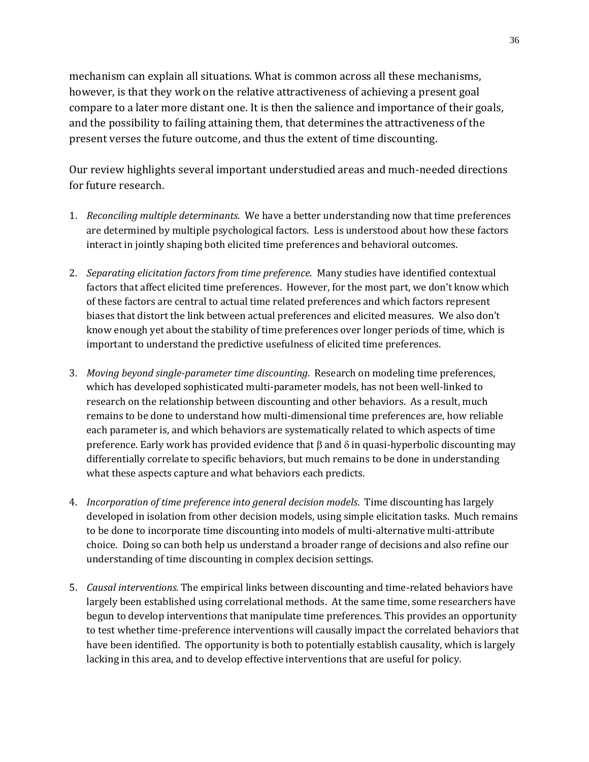mechanism can explain all situations. What is common across all these mechanisms, however, is that they work on the relative attractiveness of achieving a present goal compare to a later more distant one. It is then the salience and importance of their goals, and the possibility to failing attaining them, that determines the attractiveness of the present verses the future outcome, and thus the extent of time discounting.

Our review highlights several important understudied areas and much-needed directions for future research.

- 1. *Reconciling multiple determinants*. We have a better understanding now that time preferences are determined by multiple psychological factors. Less is understood about how these factors interact in jointly shaping both elicited time preferences and behavioral outcomes.
- 2. *Separating elicitation factors from time preference*. Many studies have identified contextual factors that affect elicited time preferences. However, for the most part, we don't know which of these factors are central to actual time related preferences and which factors represent biases that distort the link between actual preferences and elicited measures. We also don't know enough yet about the stability of time preferences over longer periods of time, which is important to understand the predictive usefulness of elicited time preferences.
- 3. *Moving beyond single-parameter time discounting*. Research on modeling time preferences, which has developed sophisticated multi-parameter models, has not been well-linked to research on the relationship between discounting and other behaviors. As a result, much remains to be done to understand how multi-dimensional time preferences are, how reliable each parameter is, and which behaviors are systematically related to which aspects of time preference. Early work has provided evidence that  $\beta$  and  $\delta$  in quasi-hyperbolic discounting may differentially correlate to specific behaviors, but much remains to be done in understanding what these aspects capture and what behaviors each predicts.
- 4. *Incorporation of time preference into general decision models*. Time discounting has largely developed in isolation from other decision models, using simple elicitation tasks. Much remains to be done to incorporate time discounting into models of multi-alternative multi-attribute choice. Doing so can both help us understand a broader range of decisions and also refine our understanding of time discounting in complex decision settings.
- 5. *Causal interventions*. The empirical links between discounting and time-related behaviors have largely been established using correlational methods. At the same time, some researchers have begun to develop interventions that manipulate time preferences. This provides an opportunity to test whether time-preference interventions will causally impact the correlated behaviors that have been identified. The opportunity is both to potentially establish causality, which is largely lacking in this area, and to develop effective interventions that are useful for policy.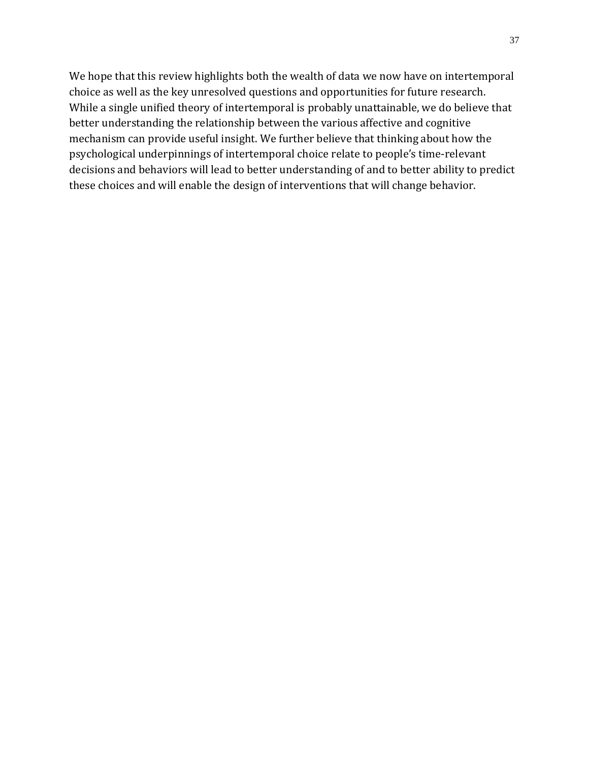We hope that this review highlights both the wealth of data we now have on intertemporal choice as well as the key unresolved questions and opportunities for future research. While a single unified theory of intertemporal is probably unattainable, we do believe that better understanding the relationship between the various affective and cognitive mechanism can provide useful insight. We further believe that thinking about how the psychological underpinnings of intertemporal choice relate to people's time-relevant decisions and behaviors will lead to better understanding of and to better ability to predict these choices and will enable the design of interventions that will change behavior.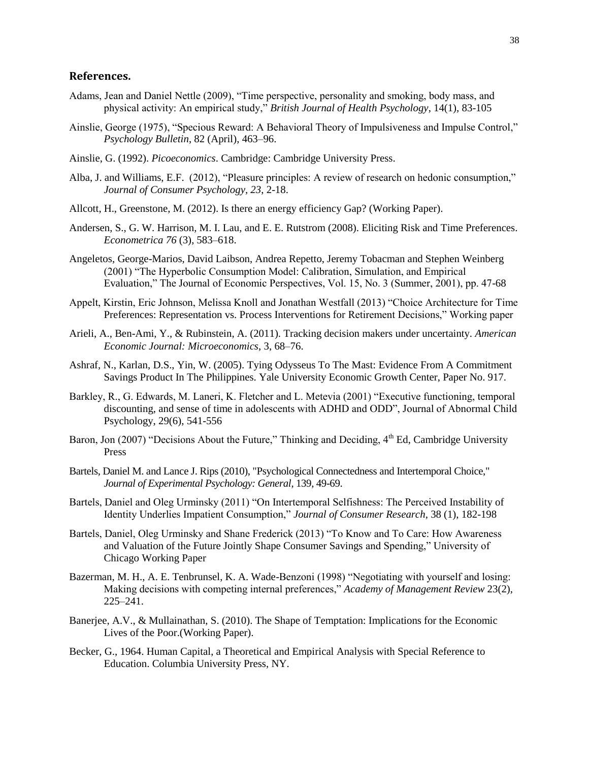#### **References.**

- Adams, Jean and Daniel Nettle (2009), "Time perspective, personality and smoking, body mass, and physical activity: An empirical study," *British Journal of Health Psychology*, 14(1), 83-105
- Ainslie, George (1975), "Specious Reward: A Behavioral Theory of Impulsiveness and Impulse Control," *Psychology Bulletin*, 82 (April), 463–96.
- Ainslie, G. (1992). *Picoeconomics*. Cambridge: Cambridge University Press.
- Alba, J. and Williams, E.F. (2012), "Pleasure principles: A review of research on hedonic consumption," *Journal of Consumer Psychology, 23*, 2-18.
- Allcott, H., Greenstone, M. (2012). Is there an energy efficiency Gap? (Working Paper).
- Andersen, S., G. W. Harrison, M. I. Lau, and E. E. Rutstrom (2008). Eliciting Risk and Time Preferences. *Econometrica 76* (3), 583–618.
- Angeletos, George-Marios, David Laibson, Andrea Repetto, Jeremy Tobacman and Stephen Weinberg (2001) "The Hyperbolic Consumption Model: Calibration, Simulation, and Empirical Evaluation," The Journal of Economic Perspectives, Vol. 15, No. 3 (Summer, 2001), pp. 47-68
- Appelt, Kirstin, Eric Johnson, Melissa Knoll and Jonathan Westfall (2013) "Choice Architecture for Time Preferences: Representation vs. Process Interventions for Retirement Decisions," Working paper
- Arieli, A., Ben-Ami, Y., & Rubinstein, A. (2011). Tracking decision makers under uncertainty. *American Economic Journal: Microeconomics*, 3, 68–76.
- Ashraf, N., Karlan, D.S., Yin, W. (2005). Tying Odysseus To The Mast: Evidence From A Commitment Savings Product In The Philippines. Yale University Economic Growth Center, Paper No. 917.
- Barkley, R., G. Edwards, M. Laneri, K. Fletcher and L. Metevia (2001) "Executive functioning, temporal discounting, and sense of time in adolescents with ADHD and ODD", Journal of Abnormal Child Psychology, 29(6), 541-556
- Baron, Jon (2007) "Decisions About the Future," Thinking and Deciding, 4<sup>th</sup> Ed, Cambridge University Press
- Bartels, Daniel M. and Lance J. Rips (2010), "Psychological Connectedness and Intertemporal Choice," *Journal of Experimental Psychology: General*, 139, 49-69.
- Bartels, Daniel and Oleg Urminsky (2011) "On Intertemporal Selfishness: The Perceived Instability of Identity Underlies Impatient Consumption," *Journal of Consumer Research,* 38 (1), 182-198
- Bartels, Daniel, Oleg Urminsky and Shane Frederick (2013) "To Know and To Care: How Awareness and Valuation of the Future Jointly Shape Consumer Savings and Spending," University of Chicago Working Paper
- Bazerman, M. H., A. E. Tenbrunsel, K. A. Wade-Benzoni (1998) "Negotiating with yourself and losing: Making decisions with competing internal preferences," *Academy of Management Review* 23(2), 225–241.
- Banerjee, A.V., & Mullainathan, S. (2010). The Shape of Temptation: Implications for the Economic Lives of the Poor.(Working Paper).
- Becker, G., 1964. Human Capital, a Theoretical and Empirical Analysis with Special Reference to Education. Columbia University Press, NY.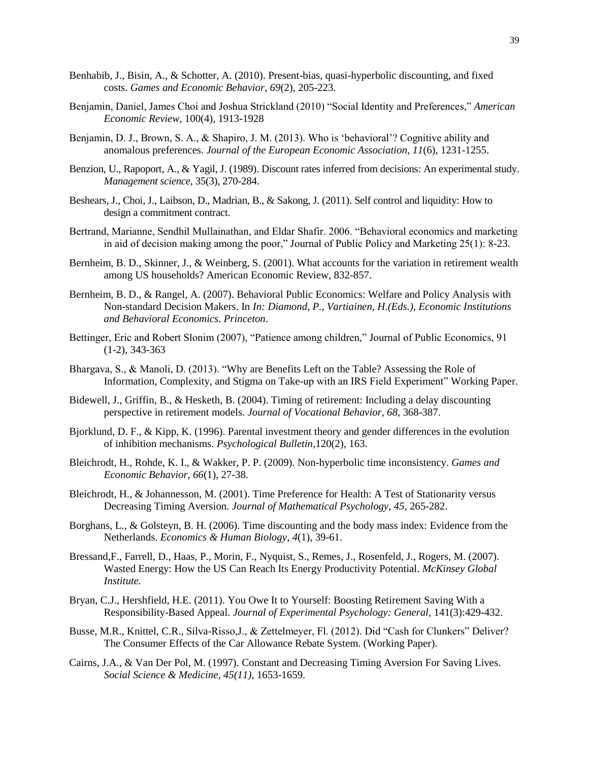- Benhabib, J., Bisin, A., & Schotter, A. (2010). Present-bias, quasi-hyperbolic discounting, and fixed costs. *Games and Economic Behavior*, *69*(2), 205-223.
- Benjamin, Daniel, James Choi and Joshua Strickland (2010) "Social Identity and Preferences," *American Economic Review*, 100(4), 1913-1928
- Benjamin, D. J., Brown, S. A., & Shapiro, J. M. (2013). Who is 'behavioral'? Cognitive ability and anomalous preferences. *Journal of the European Economic Association*, *11*(6), 1231-1255.
- Benzion, U., Rapoport, A., & Yagil, J. (1989). Discount rates inferred from decisions: An experimental study. *Management science*, 35(3), 270-284.
- Beshears, J., Choi, J., Laibson, D., Madrian, B., & Sakong, J. (2011). Self control and liquidity: How to design a commitment contract.
- Bertrand, Marianne, Sendhil Mullainathan, and Eldar Shafir. 2006. "Behavioral economics and marketing in aid of decision making among the poor," Journal of Public Policy and Marketing 25(1): 8-23.
- Bernheim, B. D., Skinner, J., & Weinberg, S. (2001). What accounts for the variation in retirement wealth among US households? American Economic Review, 832-857.
- Bernheim, B. D., & Rangel, A. (2007). Behavioral Public Economics: Welfare and Policy Analysis with Non-standard Decision Makers. In *In: Diamond, P., Vartiainen, H.(Eds.), Economic Institutions and Behavioral Economics. Princeton*.
- Bettinger, Eric and Robert Slonim (2007), "Patience among children," Journal of Public Economics, 91 (1-2), 343-363
- Bhargava, S., & Manoli, D. (2013). "Why are Benefits Left on the Table? Assessing the Role of Information, Complexity, and Stigma on Take-up with an IRS Field Experiment" Working Paper.
- Bidewell, J., Griffin, B., & Hesketh, B. (2004). Timing of retirement: Including a delay discounting perspective in retirement models. *Journal of Vocational Behavior, 68,* 368-387.
- Bjorklund, D. F., & Kipp, K. (1996). Parental investment theory and gender differences in the evolution of inhibition mechanisms. *Psychological Bulletin*,120(2), 163.
- Bleichrodt, H., Rohde, K. I., & Wakker, P. P. (2009). Non-hyperbolic time inconsistency. *Games and Economic Behavior*, *66*(1), 27-38.
- Bleichrodt, H., & Johannesson, M. (2001). Time Preference for Health: A Test of Stationarity versus Decreasing Timing Aversion. *Journal of Mathematical Psychology, 45,* 265-282.
- Borghans, L., & Golsteyn, B. H. (2006). Time discounting and the body mass index: Evidence from the Netherlands. *Economics & Human Biology*, *4*(1), 39-61.
- Bressand,F., Farrell, D., Haas, P., Morin, F., Nyquist, S., Remes, J., Rosenfeld, J., Rogers, M. (2007). Wasted Energy: How the US Can Reach Its Energy Productivity Potential. *McKinsey Global Institute.*
- Bryan, C.J., Hershfield, H.E. (2011). You Owe It to Yourself: Boosting Retirement Saving With a Responsibility-Based Appeal. *Journal of Experimental Psychology: General,* 141(3):429-432.
- Busse, M.R., Knittel, C.R., Silva-Risso,J., & Zettelmeyer, Fl. (2012). Did "Cash for Clunkers" Deliver? The Consumer Effects of the Car Allowance Rebate System. (Working Paper).
- Cairns, J.A., & Van Der Pol, M. (1997). Constant and Decreasing Timing Aversion For Saving Lives. *Social Science & Medicine, 45(11)*, 1653-1659.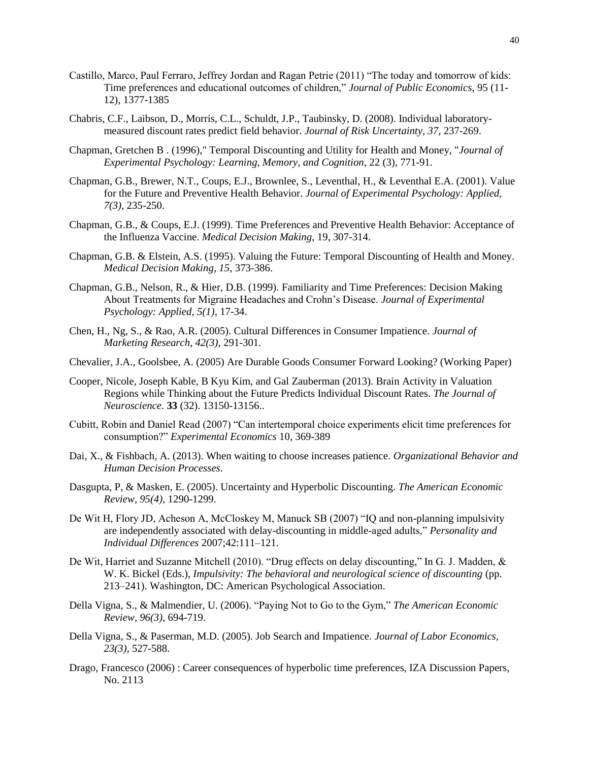- Castillo, Marco, Paul Ferraro, Jeffrey Jordan and Ragan Petrie (2011) "The today and tomorrow of kids: Time preferences and educational outcomes of children," *Journal of Public Economics*, 95 (11- 12), 1377-1385
- Chabris, C.F., Laibson, D., Morris, C.L., Schuldt, J.P., Taubinsky, D. (2008). Individual laboratorymeasured discount rates predict field behavior. *Journal of Risk Uncertainty, 37*, 237-269.
- Chapman, Gretchen B . (1996)," Temporal Discounting and Utility for Health and Money, "*Journal of Experimental Psychology: Learning, Memory, and Cognition*, 22 (3), 771-91.
- Chapman, G.B., Brewer, N.T., Coups, E.J., Brownlee, S., Leventhal, H., & Leventhal E.A. (2001). Value for the Future and Preventive Health Behavior. *Journal of Experimental Psychology: Applied, 7(3)*, 235-250.
- Chapman, G.B., & Coups, E.J. (1999). Time Preferences and Preventive Health Behavior: Acceptance of the Influenza Vaccine. *Medical Decision Making*, 19, 307-314.
- Chapman, G.B. & Elstein, A.S. (1995). Valuing the Future: Temporal Discounting of Health and Money. *Medical Decision Making, 15*, 373-386.
- Chapman, G.B., Nelson, R., & Hier, D.B. (1999). Familiarity and Time Preferences: Decision Making About Treatments for Migraine Headaches and Crohn's Disease. *Journal of Experimental Psychology: Applied, 5(1)*, 17-34.
- Chen, H., Ng, S., & Rao, A.R. (2005). Cultural Differences in Consumer Impatience. *Journal of Marketing Research, 42(3)*, 291-301.
- Chevalier, J.A., Goolsbee, A. (2005) Are Durable Goods Consumer Forward Looking? (Working Paper)
- Cooper, Nicole, Joseph Kable, B Kyu Kim, and Gal Zauberman (2013). Brain Activity in Valuation Regions while Thinking about the Future Predicts Individual Discount Rates. *The Journal of Neuroscience*. **33** (32). 13150-13156..
- Cubitt, Robin and Daniel Read (2007) "Can intertemporal choice experiments elicit time preferences for consumption?" *Experimental Economics* 10, 369-389
- Dai, X., & Fishbach, A. (2013). When waiting to choose increases patience. *Organizational Behavior and Human Decision Processes*.
- Dasgupta, P, & Masken, E. (2005). Uncertainty and Hyperbolic Discounting. *The American Economic Review, 95(4)*, 1290-1299.
- De Wit H, Flory JD, Acheson A, McCloskey M, Manuck SB (2007) "IQ and non-planning impulsivity are independently associated with delay-discounting in middle-aged adults," *Personality and Individual Differences* 2007;42:111–121.
- De Wit, Harriet and Suzanne Mitchell (2010). "Drug effects on delay discounting," In G. J. Madden, & W. K. Bickel (Eds.), *Impulsivity: The behavioral and neurological science of discounting* (pp. 213–241). Washington, DC: American Psychological Association.
- Della Vigna, S., & Malmendier, U. (2006). "Paying Not to Go to the Gym," *The American Economic Review, 96(3)*, 694-719.
- Della Vigna, S., & Paserman, M.D. (2005). Job Search and Impatience. *Journal of Labor Economics, 23(3),* 527-588.
- Drago, Francesco (2006) : Career consequences of hyperbolic time preferences, IZA Discussion Papers, No. 2113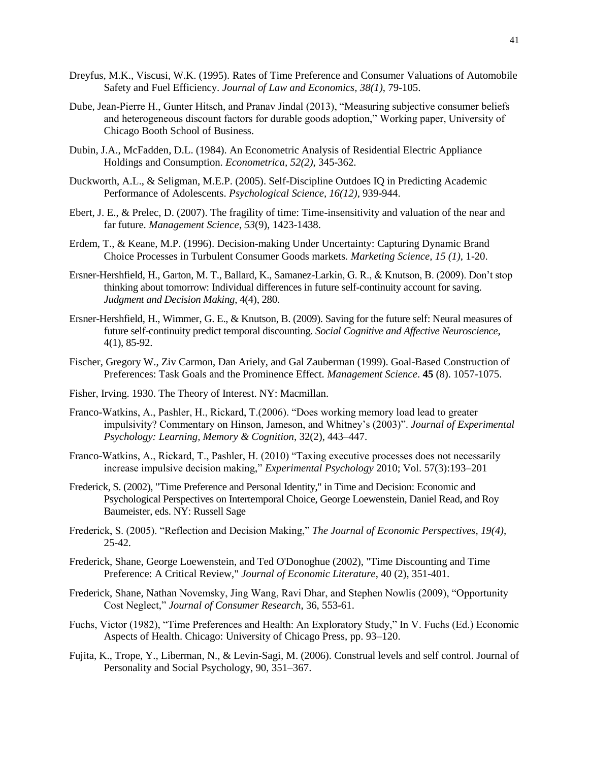- Dreyfus, M.K., Viscusi, W.K. (1995). Rates of Time Preference and Consumer Valuations of Automobile Safety and Fuel Efficiency. *Journal of Law and Economics, 38(1)*, 79-105.
- Dube, Jean-Pierre H., Gunter Hitsch, and Pranav Jindal (2013), "Measuring subjective consumer beliefs and heterogeneous discount factors for durable goods adoption," Working paper, University of Chicago Booth School of Business.
- Dubin, J.A., McFadden, D.L. (1984). An Econometric Analysis of Residential Electric Appliance Holdings and Consumption. *Econometrica, 52(2)*, 345-362.
- Duckworth, A.L., & Seligman, M.E.P. (2005). Self-Discipline Outdoes IQ in Predicting Academic Performance of Adolescents. *Psychological Science, 16(12)*, 939-944.
- Ebert, J. E., & Prelec, D. (2007). The fragility of time: Time-insensitivity and valuation of the near and far future. *Management Science*, *53*(9), 1423-1438.
- Erdem, T., & Keane, M.P. (1996). Decision-making Under Uncertainty: Capturing Dynamic Brand Choice Processes in Turbulent Consumer Goods markets. *Marketing Science, 15 (1)*, 1-20.
- Ersner-Hershfield, H., Garton, M. T., Ballard, K., Samanez-Larkin, G. R., & Knutson, B. (2009). Don't stop thinking about tomorrow: Individual differences in future self-continuity account for saving. *Judgment and Decision Making*, 4(4), 280.
- Ersner-Hershfield, H., Wimmer, G. E., & Knutson, B. (2009). Saving for the future self: Neural measures of future self-continuity predict temporal discounting. *Social Cognitive and Affective Neuroscience*, 4(1), 85-92.
- Fischer, Gregory W., Ziv Carmon, Dan Ariely, and Gal Zauberman (1999). Goal-Based Construction of Preferences: Task Goals and the Prominence Effect. *Management Science*. **45** (8). 1057-1075.
- Fisher, Irving. 1930. The Theory of Interest. NY: Macmillan.
- Franco-Watkins, A., Pashler, H., Rickard, T.(2006). "Does working memory load lead to greater impulsivity? Commentary on Hinson, Jameson, and Whitney's (2003)". *Journal of Experimental Psychology: Learning, Memory & Cognition*, 32(2), 443–447.
- Franco-Watkins, A., Rickard, T., Pashler, H. (2010) "Taxing executive processes does not necessarily increase impulsive decision making," *Experimental Psychology* 2010; Vol. 57(3):193–201
- Frederick, S. (2002), "Time Preference and Personal Identity," in Time and Decision: Economic and Psychological Perspectives on Intertemporal Choice, George Loewenstein, Daniel Read, and Roy Baumeister, eds. NY: Russell Sage
- Frederick, S. (2005). "Reflection and Decision Making," *The Journal of Economic Perspectives, 19(4)*, 25-42.
- Frederick, Shane, George Loewenstein, and Ted O'Donoghue (2002), "Time Discounting and Time Preference: A Critical Review," *Journal of Economic Literature*, 40 (2), 351-401.
- Frederick, Shane, Nathan Novemsky, Jing Wang, Ravi Dhar, and Stephen Nowlis (2009), "Opportunity Cost Neglect," *Journal of Consumer Research*, 36, 553-61.
- Fuchs, Victor (1982), "Time Preferences and Health: An Exploratory Study," In V. Fuchs (Ed.) Economic Aspects of Health. Chicago: University of Chicago Press, pp. 93–120.
- Fujita, K., Trope, Y., Liberman, N., & Levin-Sagi, M. (2006). Construal levels and self control. Journal of Personality and Social Psychology, 90, 351–367.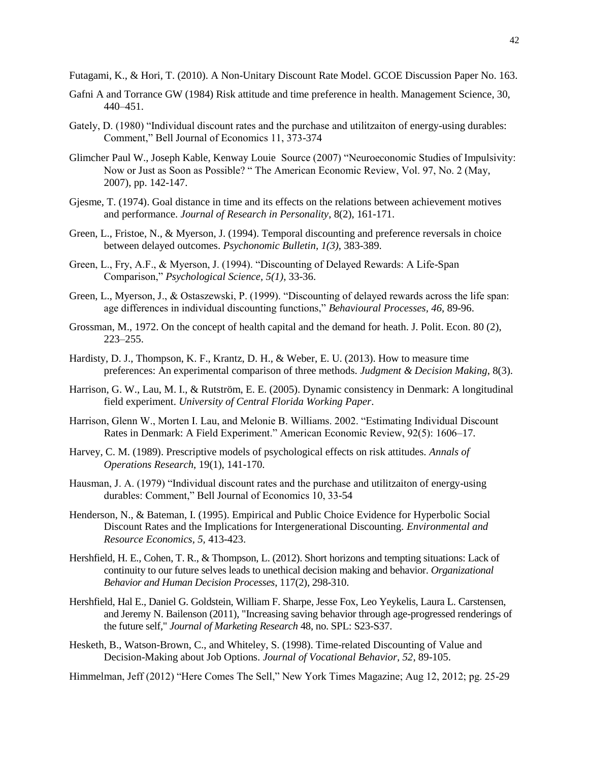Futagami, K., & Hori, T. (2010). A Non-Unitary Discount Rate Model. GCOE Discussion Paper No. 163.

- Gafni A and Torrance GW (1984) Risk attitude and time preference in health. Management Science, 30, 440–451.
- Gately, D. (1980) "Individual discount rates and the purchase and utilitzaiton of energy-using durables: Comment," Bell Journal of Economics 11, 373-374
- Glimcher Paul W., Joseph Kable, Kenway Louie Source (2007) "Neuroeconomic Studies of Impulsivity: Now or Just as Soon as Possible? " The American Economic Review, Vol. 97, No. 2 (May, 2007), pp. 142-147.
- Gjesme, T. (1974). Goal distance in time and its effects on the relations between achievement motives and performance. *Journal of Research in Personality*, 8(2), 161-171.
- Green, L., Fristoe, N., & Myerson, J. (1994). Temporal discounting and preference reversals in choice between delayed outcomes. *Psychonomic Bulletin, 1(3)*, 383-389.
- Green, L., Fry, A.F., & Myerson, J. (1994). "Discounting of Delayed Rewards: A Life-Span Comparison," *Psychological Science, 5(1)*, 33-36.
- Green, L., Myerson, J., & Ostaszewski, P. (1999). "Discounting of delayed rewards across the life span: age differences in individual discounting functions," *Behavioural Processes, 46*, 89-96.
- Grossman, M., 1972. On the concept of health capital and the demand for heath. J. Polit. Econ. 80 (2), 223–255.
- Hardisty, D. J., Thompson, K. F., Krantz, D. H., & Weber, E. U. (2013). How to measure time preferences: An experimental comparison of three methods. *Judgment & Decision Making*, 8(3).
- Harrison, G. W., Lau, M. I., & Rutström, E. E. (2005). Dynamic consistency in Denmark: A longitudinal field experiment. *University of Central Florida Working Paper*.
- Harrison, Glenn W., Morten I. Lau, and Melonie B. Williams. 2002. "Estimating Individual Discount Rates in Denmark: A Field Experiment." American Economic Review, 92(5): 1606–17.
- Harvey, C. M. (1989). Prescriptive models of psychological effects on risk attitudes. *Annals of Operations Research*, 19(1), 141-170.
- Hausman, J. A. (1979) "Individual discount rates and the purchase and utilitzaiton of energy-using durables: Comment," Bell Journal of Economics 10, 33-54
- Henderson, N., & Bateman, I. (1995). Empirical and Public Choice Evidence for Hyperbolic Social Discount Rates and the Implications for Intergenerational Discounting. *Environmental and Resource Economics, 5,* 413-423.
- Hershfield, H. E., Cohen, T. R., & Thompson, L. (2012). Short horizons and tempting situations: Lack of continuity to our future selves leads to unethical decision making and behavior. *Organizational Behavior and Human Decision Processes*, 117(2), 298-310.
- Hershfield, Hal E., Daniel G. Goldstein, William F. Sharpe, Jesse Fox, Leo Yeykelis, Laura L. Carstensen, and Jeremy N. Bailenson (2011), "Increasing saving behavior through age-progressed renderings of the future self," *Journal of Marketing Research* 48, no. SPL: S23-S37.
- Hesketh, B., Watson-Brown, C., and Whiteley, S. (1998). Time-related Discounting of Value and Decision-Making about Job Options. *Journal of Vocational Behavior, 52*, 89-105.

Himmelman, Jeff (2012) "Here Comes The Sell," New York Times Magazine; Aug 12, 2012; pg. 25-29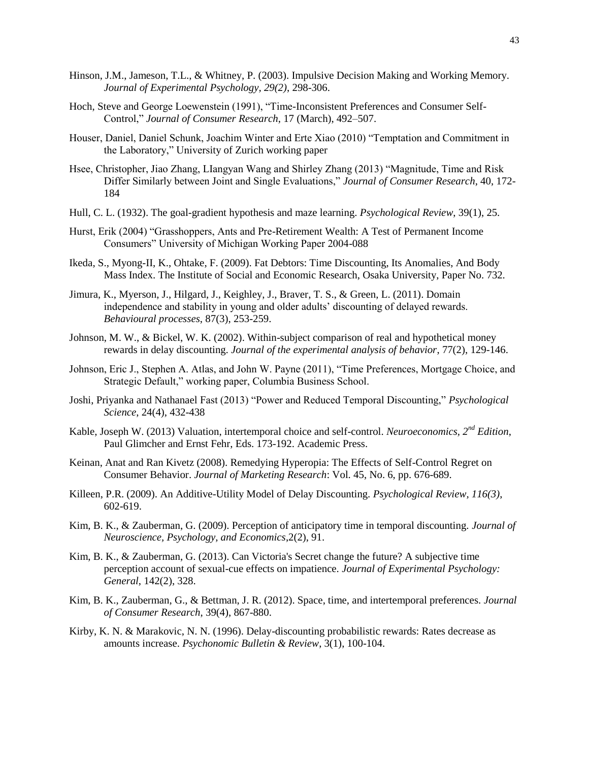- Hinson, J.M., Jameson, T.L., & Whitney, P. (2003). Impulsive Decision Making and Working Memory. *Journal of Experimental Psychology, 29(2)*, 298-306.
- Hoch, Steve and George Loewenstein (1991), "Time-Inconsistent Preferences and Consumer Self-Control," *Journal of Consumer Research*, 17 (March), 492–507.
- Houser, Daniel, Daniel Schunk, Joachim Winter and Erte Xiao (2010) "Temptation and Commitment in the Laboratory," University of Zurich working paper
- Hsee, Christopher, Jiao Zhang, LIangyan Wang and Shirley Zhang (2013) "Magnitude, Time and Risk Differ Similarly between Joint and Single Evaluations," *Journal of Consumer Research*, 40, 172- 184
- Hull, C. L. (1932). The goal-gradient hypothesis and maze learning. *Psychological Review*, 39(1), 25.
- Hurst, Erik (2004) "Grasshoppers, Ants and Pre-Retirement Wealth: A Test of Permanent Income Consumers" University of Michigan Working Paper 2004-088
- Ikeda, S., Myong-II, K., Ohtake, F. (2009). Fat Debtors: Time Discounting, Its Anomalies, And Body Mass Index. The Institute of Social and Economic Research, Osaka University, Paper No. 732.
- Jimura, K., Myerson, J., Hilgard, J., Keighley, J., Braver, T. S., & Green, L. (2011). Domain independence and stability in young and older adults' discounting of delayed rewards. *Behavioural processes*, 87(3), 253-259.
- Johnson, M. W., & Bickel, W. K. (2002). Within-subject comparison of real and hypothetical money rewards in delay discounting. *Journal of the experimental analysis of behavior*, 77(2), 129-146.
- Johnson, Eric J., Stephen A. Atlas, and John W. Payne (2011), "Time Preferences, Mortgage Choice, and Strategic Default," working paper, Columbia Business School.
- Joshi, Priyanka and Nathanael Fast (2013) "Power and Reduced Temporal Discounting," *Psychological Science*, 24(4), 432-438
- Kable, Joseph W. (2013) Valuation, intertemporal choice and self-control. *Neuroeconomics, 2nd Edition*, Paul Glimcher and Ernst Fehr, Eds. 173-192. Academic Press.
- Keinan, Anat and Ran Kivetz (2008). Remedying Hyperopia: The Effects of Self-Control Regret on Consumer Behavior. *Journal of Marketing Research*: Vol. 45, No. 6, pp. 676-689.
- Killeen, P.R. (2009). An Additive-Utility Model of Delay Discounting. *Psychological Review, 116(3)*, 602-619.
- Kim, B. K., & Zauberman, G. (2009). Perception of anticipatory time in temporal discounting. *Journal of Neuroscience, Psychology, and Economics*,2(2), 91.
- Kim, B. K., & Zauberman, G. (2013). Can Victoria's Secret change the future? A subjective time perception account of sexual-cue effects on impatience. *Journal of Experimental Psychology: General*, 142(2), 328.
- Kim, B. K., Zauberman, G., & Bettman, J. R. (2012). Space, time, and intertemporal preferences. *Journal of Consumer Research*, 39(4), 867-880.
- Kirby, K. N. & Marakovic, N. N. (1996). Delay-discounting probabilistic rewards: Rates decrease as amounts increase. *Psychonomic Bulletin & Review*, 3(1), 100-104.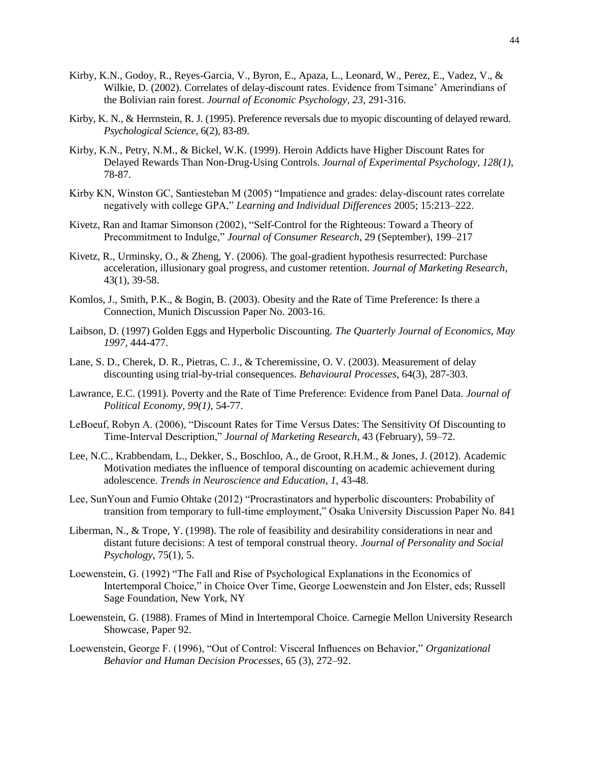- Kirby, K.N., Godoy, R., Reyes-Garcia, V., Byron, E., Apaza, L., Leonard, W., Perez, E., Vadez, V., & Wilkie, D. (2002). Correlates of delay-discount rates. Evidence from Tsimane' Amerindians of the Bolivian rain forest. *Journal of Economic Psychology, 23*, 291-316.
- Kirby, K. N., & Herrnstein, R. J. (1995). Preference reversals due to myopic discounting of delayed reward. *Psychological Science*, 6(2), 83-89.
- Kirby, K.N., Petry, N.M., & Bickel, W.K. (1999). Heroin Addicts have Higher Discount Rates for Delayed Rewards Than Non-Drug-Using Controls. *Journal of Experimental Psychology, 128(1)*, 78-87.
- Kirby KN, Winston GC, Santiesteban M (2005) "Impatience and grades: delay-discount rates correlate negatively with college GPA," *Learning and Individual Differences* 2005; 15:213–222.
- Kivetz, Ran and Itamar Simonson (2002), "Self-Control for the Righteous: Toward a Theory of Precommitment to Indulge," *Journal of Consumer Research*, 29 (September), 199–217
- Kivetz, R., Urminsky, O., & Zheng, Y. (2006). The goal-gradient hypothesis resurrected: Purchase acceleration, illusionary goal progress, and customer retention. *Journal of Marketing Research*, 43(1), 39-58.
- Komlos, J., Smith, P.K., & Bogin, B. (2003). Obesity and the Rate of Time Preference: Is there a Connection, Munich Discussion Paper No. 2003-16.
- Laibson, D. (1997) Golden Eggs and Hyperbolic Discounting. *The Quarterly Journal of Economics, May 1997,* 444-477.
- Lane, S. D., Cherek, D. R., Pietras, C. J., & Tcheremissine, O. V. (2003). Measurement of delay discounting using trial-by-trial consequences. *Behavioural Processes*, 64(3), 287-303.
- Lawrance, E.C. (1991). Poverty and the Rate of Time Preference: Evidence from Panel Data. *Journal of Political Economy, 99(1)*, 54-77.
- LeBoeuf, Robyn A. (2006), "Discount Rates for Time Versus Dates: The Sensitivity Of Discounting to Time-Interval Description," *Journal of Marketing Research*, 43 (February), 59–72.
- Lee, N.C., Krabbendam, L., Dekker, S., Boschloo, A., de Groot, R.H.M., & Jones, J. (2012). Academic Motivation mediates the influence of temporal discounting on academic achievement during adolescence. *Trends in Neuroscience and Education, 1,* 43-48.
- Lee, SunYoun and Fumio Ohtake (2012) "Procrastinators and hyperbolic discounters: Probability of transition from temporary to full-time employment," Osaka University Discussion Paper No. 841
- Liberman, N., & Trope, Y. (1998). The role of feasibility and desirability considerations in near and distant future decisions: A test of temporal construal theory. *Journal of Personality and Social Psychology*, 75(1), 5.
- Loewenstein, G. (1992) "The Fall and Rise of Psychological Explanations in the Economics of Intertemporal Choice," in Choice Over Time, George Loewenstein and Jon Elster, eds; Russell Sage Foundation, New York, NY
- Loewenstein, G. (1988). Frames of Mind in Intertemporal Choice. Carnegie Mellon University Research Showcase, Paper 92.
- Loewenstein, George F. (1996), "Out of Control: Visceral Influences on Behavior," *Organizational Behavior and Human Decision Processes*, 65 (3), 272–92.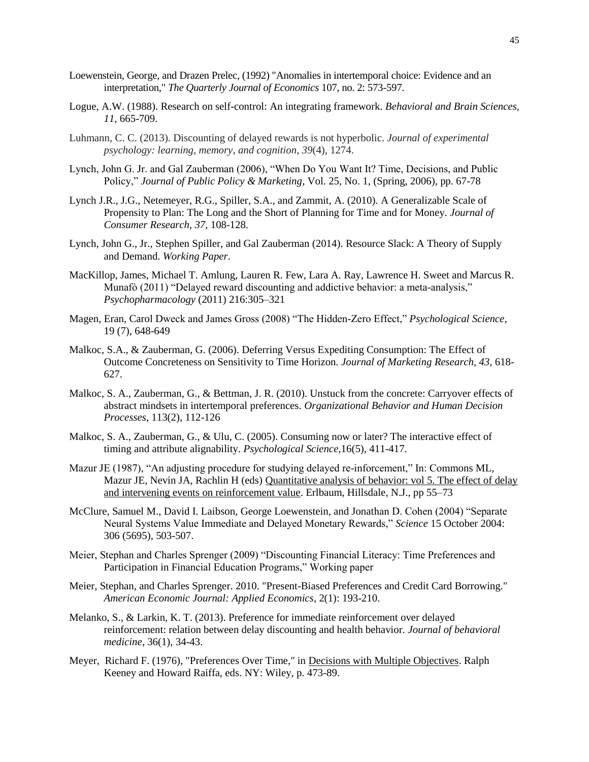- Loewenstein, George, and Drazen Prelec, (1992) "Anomalies in intertemporal choice: Evidence and an interpretation," *The Quarterly Journal of Economics* 107, no. 2: 573-597.
- Logue, A.W. (1988). Research on self-control: An integrating framework. *Behavioral and Brain Sciences, 11,* 665-709.
- Luhmann, C. C. (2013). Discounting of delayed rewards is not hyperbolic. *Journal of experimental psychology: learning, memory, and cognition*, *39*(4), 1274.
- Lynch, John G. Jr. and Gal Zauberman (2006), "When Do You Want It? Time, Decisions, and Public Policy," *Journal of Public Policy & Marketing*, Vol. 25, No. 1, (Spring, 2006), pp. 67-78
- Lynch J.R., J.G., Netemeyer, R.G., Spiller, S.A., and Zammit, A. (2010). A Generalizable Scale of Propensity to Plan: The Long and the Short of Planning for Time and for Money. *Journal of Consumer Research, 37,* 108-128.
- Lynch, John G., Jr., Stephen Spiller, and Gal Zauberman (2014). Resource Slack: A Theory of Supply and Demand. *Working Paper*.
- MacKillop, James, Michael T. Amlung, Lauren R. Few, Lara A. Ray, Lawrence H. Sweet and Marcus R. Munafò (2011) "Delayed reward discounting and addictive behavior: a meta-analysis," *Psychopharmacology* (2011) 216:305–321
- Magen, Eran, Carol Dweck and James Gross (2008) "The Hidden-Zero Effect," *Psychological Science*, 19 (7), 648-649
- Malkoc, S.A., & Zauberman, G. (2006). Deferring Versus Expediting Consumption: The Effect of Outcome Concreteness on Sensitivity to Time Horizon. *Journal of Marketing Research, 43,* 618- 627.
- Malkoc, S. A., Zauberman, G., & Bettman, J. R. (2010). Unstuck from the concrete: Carryover effects of abstract mindsets in intertemporal preferences. *Organizational Behavior and Human Decision Processes*, 113(2), 112-126
- Malkoc, S. A., Zauberman, G., & Ulu, C. (2005). Consuming now or later? The interactive effect of timing and attribute alignability. *Psychological Science*,16(5), 411-417.
- Mazur JE (1987), "An adjusting procedure for studying delayed re-inforcement," In: Commons ML, Mazur JE, Nevin JA, Rachlin H (eds) Quantitative analysis of behavior: vol 5. The effect of delay and intervening events on reinforcement value. Erlbaum, Hillsdale, N.J., pp 55–73
- McClure, Samuel M., David I. Laibson, George Loewenstein, and Jonathan D. Cohen (2004) "Separate Neural Systems Value Immediate and Delayed Monetary Rewards," *Science* 15 October 2004: 306 (5695), 503-507.
- Meier, Stephan and Charles Sprenger (2009) "Discounting Financial Literacy: Time Preferences and Participation in Financial Education Programs," Working paper
- Meier, Stephan, and Charles Sprenger. 2010. "Present-Biased Preferences and Credit Card Borrowing." *American Economic Journal: Applied Economics*, 2(1): 193-210.
- Melanko, S., & Larkin, K. T. (2013). Preference for immediate reinforcement over delayed reinforcement: relation between delay discounting and health behavior. *Journal of behavioral medicine*, 36(1), 34-43.
- Meyer, Richard F. (1976), "Preferences Over Time," in Decisions with Multiple Objectives. Ralph Keeney and Howard Raiffa, eds. NY: Wiley, p. 473-89.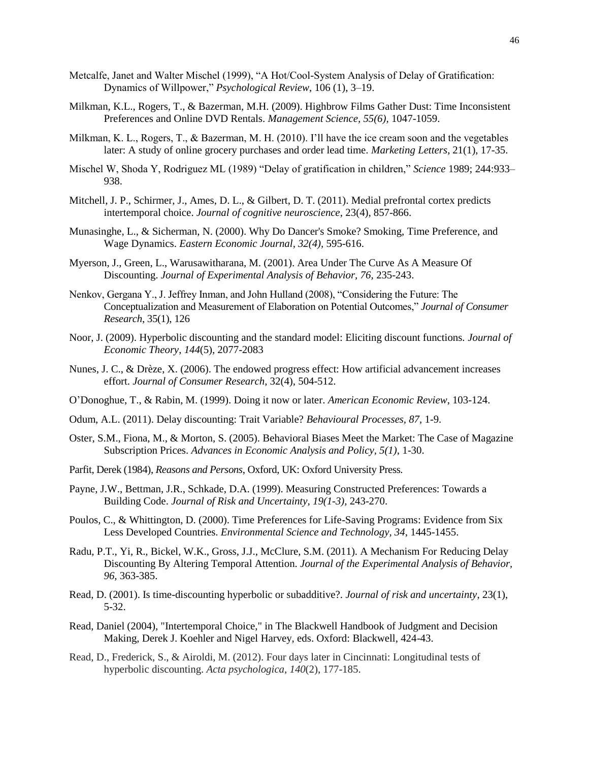- Metcalfe, Janet and Walter Mischel (1999), "A Hot/Cool-System Analysis of Delay of Gratification: Dynamics of Willpower," *Psychological Review*, 106 (1), 3–19.
- Milkman, K.L., Rogers, T., & Bazerman, M.H. (2009). Highbrow Films Gather Dust: Time Inconsistent Preferences and Online DVD Rentals. *Management Science, 55(6),* 1047-1059.
- Milkman, K. L., Rogers, T., & Bazerman, M. H. (2010). I'll have the ice cream soon and the vegetables later: A study of online grocery purchases and order lead time. *Marketing Letters*, 21(1), 17-35.
- Mischel W, Shoda Y, Rodriguez ML (1989) "Delay of gratification in children," *Science* 1989; 244:933– 938.
- Mitchell, J. P., Schirmer, J., Ames, D. L., & Gilbert, D. T. (2011). Medial prefrontal cortex predicts intertemporal choice. *Journal of cognitive neuroscience*, 23(4), 857-866.
- Munasinghe, L., & Sicherman, N. (2000). Why Do Dancer's Smoke? Smoking, Time Preference, and Wage Dynamics. *Eastern Economic Journal, 32(4),* 595-616.
- Myerson, J., Green, L., Warusawitharana, M. (2001). Area Under The Curve As A Measure Of Discounting. *Journal of Experimental Analysis of Behavior, 76,* 235-243.
- Nenkov, Gergana Y., J. Jeffrey Inman, and John Hulland (2008), "Considering the Future: The Conceptualization and Measurement of Elaboration on Potential Outcomes," *Journal of Consumer Research*, 35(1), 126
- Noor, J. (2009). Hyperbolic discounting and the standard model: Eliciting discount functions. *Journal of Economic Theory*, *144*(5), 2077-2083
- Nunes, J. C., & Drèze, X. (2006). The endowed progress effect: How artificial advancement increases effort. *Journal of Consumer Research*, 32(4), 504-512.
- O'Donoghue, T., & Rabin, M. (1999). Doing it now or later. *American Economic Review*, 103-124.
- Odum, A.L. (2011). Delay discounting: Trait Variable? *Behavioural Processes, 87,* 1-9.
- Oster, S.M., Fiona, M., & Morton, S. (2005). Behavioral Biases Meet the Market: The Case of Magazine Subscription Prices. *Advances in Economic Analysis and Policy, 5(1)*, 1-30.
- Parfit, Derek (1984), *Reasons and Persons*, Oxford, UK: Oxford University Press.
- Payne, J.W., Bettman, J.R., Schkade, D.A. (1999). Measuring Constructed Preferences: Towards a Building Code. *Journal of Risk and Uncertainty, 19(1-3),* 243-270.
- Poulos, C., & Whittington, D. (2000). Time Preferences for Life-Saving Programs: Evidence from Six Less Developed Countries. *Environmental Science and Technology, 34*, 1445-1455.
- Radu, P.T., Yi, R., Bickel, W.K., Gross, J.J., McClure, S.M. (2011). A Mechanism For Reducing Delay Discounting By Altering Temporal Attention. *Journal of the Experimental Analysis of Behavior, 96,* 363-385.
- Read, D. (2001). Is time-discounting hyperbolic or subadditive?. *Journal of risk and uncertainty*, 23(1), 5-32.
- Read, Daniel (2004), "Intertemporal Choice," in The Blackwell Handbook of Judgment and Decision Making, Derek J. Koehler and Nigel Harvey, eds. Oxford: Blackwell, 424-43.
- Read, D., Frederick, S., & Airoldi, M. (2012). Four days later in Cincinnati: Longitudinal tests of hyperbolic discounting. *Acta psychologica*, *140*(2), 177-185.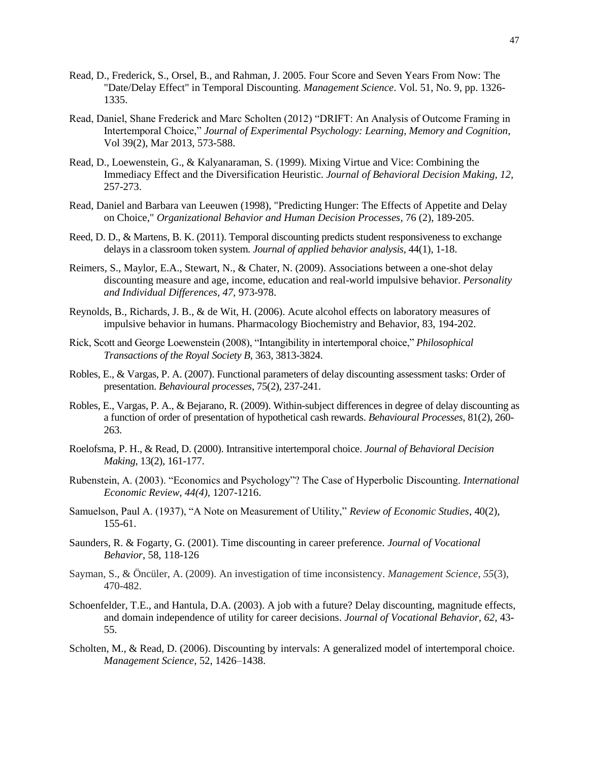- Read, D., Frederick, S., Orsel, B., and Rahman, J. 2005. Four Score and Seven Years From Now: The "Date/Delay Effect" in Temporal Discounting. *Management Science*. Vol. 51, No. 9, pp. 1326- 1335.
- Read, Daniel, Shane Frederick and Marc Scholten (2012) "DRIFT: An Analysis of Outcome Framing in Intertemporal Choice," *Journal of Experimental Psychology: Learning, Memory and Cognition*, Vol 39(2), Mar 2013, 573-588.
- Read, D., Loewenstein, G., & Kalyanaraman, S. (1999). Mixing Virtue and Vice: Combining the Immediacy Effect and the Diversification Heuristic. *Journal of Behavioral Decision Making, 12,* 257-273.
- Read, Daniel and Barbara van Leeuwen (1998), "Predicting Hunger: The Effects of Appetite and Delay on Choice," *Organizational Behavior and Human Decision Processes*, 76 (2), 189-205.
- Reed, D. D., & Martens, B. K. (2011). Temporal discounting predicts student responsiveness to exchange delays in a classroom token system. *Journal of applied behavior analysis*, 44(1), 1-18.
- Reimers, S., Maylor, E.A., Stewart, N., & Chater, N. (2009). Associations between a one-shot delay discounting measure and age, income, education and real-world impulsive behavior. *Personality and Individual Differences, 47,* 973-978.
- Reynolds, B., Richards, J. B., & de Wit, H. (2006). Acute alcohol effects on laboratory measures of impulsive behavior in humans. Pharmacology Biochemistry and Behavior, 83, 194-202.
- Rick, Scott and George Loewenstein (2008), "Intangibility in intertemporal choice," *Philosophical Transactions of the Royal Society B*, 363, 3813-3824.
- Robles, E., & Vargas, P. A. (2007). Functional parameters of delay discounting assessment tasks: Order of presentation. *Behavioural processes*, 75(2), 237-241.
- Robles, E., Vargas, P. A., & Bejarano, R. (2009). Within-subject differences in degree of delay discounting as a function of order of presentation of hypothetical cash rewards. *Behavioural Processes*, 81(2), 260- 263.
- Roelofsma, P. H., & Read, D. (2000). Intransitive intertemporal choice. *Journal of Behavioral Decision Making*, 13(2), 161-177.
- Rubenstein, A. (2003). "Economics and Psychology"? The Case of Hyperbolic Discounting. *International Economic Review, 44(4),* 1207-1216.
- Samuelson, Paul A. (1937), "A Note on Measurement of Utility," *Review of Economic Studies*, 40(2), 155-61.
- Saunders, R. & Fogarty, G. (2001). Time discounting in career preference. *Journal of Vocational Behavior*, 58, 118-126
- Sayman, S., & Öncüler, A. (2009). An investigation of time inconsistency. *Management Science*, *55*(3), 470-482.
- Schoenfelder, T.E., and Hantula, D.A. (2003). A job with a future? Delay discounting, magnitude effects, and domain independence of utility for career decisions. *Journal of Vocational Behavior, 62,* 43- 55.
- Scholten, M., & Read, D. (2006). Discounting by intervals: A generalized model of intertemporal choice. *Management Science*, 52, 1426–1438.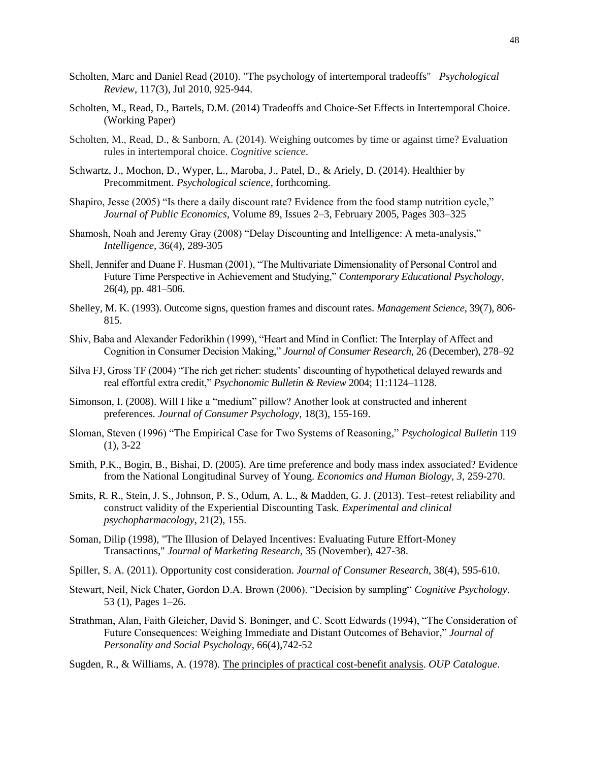- Scholten, Marc and Daniel Read (2010). "The psychology of intertemporal tradeoffs" *Psychological Review*, 117(3), Jul 2010, 925-944.
- Scholten, M., Read, D., Bartels, D.M. (2014) Tradeoffs and Choice-Set Effects in Intertemporal Choice. (Working Paper)
- Scholten, M., Read, D., & Sanborn, A. (2014). Weighing outcomes by time or against time? Evaluation rules in intertemporal choice. *Cognitive science*.
- Schwartz, J., Mochon, D., Wyper, L., Maroba, J., Patel, D., & Ariely, D. (2014). Healthier by Precommitment. *Psychological science*, forthcoming.
- Shapiro, Jesse (2005) "Is there a daily discount rate? Evidence from the food stamp nutrition cycle," *Journal of Public Economics*, Volume 89, Issues 2–3, February 2005, Pages 303–325
- Shamosh, Noah and Jeremy Gray (2008) "Delay Discounting and Intelligence: A meta-analysis," *Intelligence*, 36(4), 289-305
- Shell, Jennifer and Duane F. Husman (2001), "The Multivariate Dimensionality of Personal Control and Future Time Perspective in Achievement and Studying," *Contemporary Educational Psychology*, 26(4), pp. 481–506.
- Shelley, M. K. (1993). Outcome signs, question frames and discount rates. *Management Science*, 39(7), 806- 815.
- Shiv, Baba and Alexander Fedorikhin (1999), "Heart and Mind in Conflict: The Interplay of Affect and Cognition in Consumer Decision Making," *Journal of Consumer Research,* 26 (December), 278–92
- Silva FJ, Gross TF (2004) "The rich get richer: students' discounting of hypothetical delayed rewards and real effortful extra credit," *Psychonomic Bulletin & Review* 2004; 11:1124–1128.
- Simonson, I. (2008). Will I like a "medium" pillow? Another look at constructed and inherent preferences. *Journal of Consumer Psychology*, 18(3), 155-169.
- Sloman, Steven (1996) "The Empirical Case for Two Systems of Reasoning," *Psychological Bulletin* 119 (1), 3-22
- Smith, P.K., Bogin, B., Bishai, D. (2005). Are time preference and body mass index associated? Evidence from the National Longitudinal Survey of Young. *Economics and Human Biology, 3,* 259-270.
- Smits, R. R., Stein, J. S., Johnson, P. S., Odum, A. L., & Madden, G. J. (2013). Test–retest reliability and construct validity of the Experiential Discounting Task. *Experimental and clinical psychopharmacology*, 21(2), 155.
- Soman, Dilip (1998), "The Illusion of Delayed Incentives: Evaluating Future Effort-Money Transactions," *Journal of Marketing Research*, 35 (November), 427-38.
- Spiller, S. A. (2011). Opportunity cost consideration. *Journal of Consumer Research*, 38(4), 595-610.
- Stewart, Neil, Nick Chater, Gordon D.A. Brown (2006). "Decision by sampling" *Cognitive Psychology*. 53 (1), Pages 1–26.
- Strathman, Alan, Faith Gleicher, David S. Boninger, and C. Scott Edwards (1994), "The Consideration of Future Consequences: Weighing Immediate and Distant Outcomes of Behavior," *Journal of Personality and Social Psychology*, 66(4),742-52
- Sugden, R., & Williams, A. (1978). The principles of practical cost-benefit analysis. *OUP Catalogue*.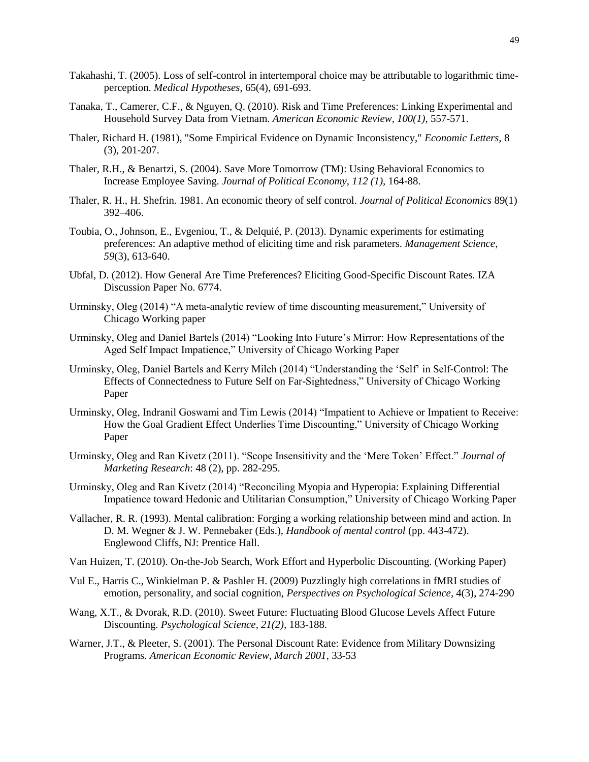- Takahashi, T. (2005). Loss of self-control in intertemporal choice may be attributable to logarithmic timeperception. *Medical Hypotheses*, 65(4), 691-693.
- Tanaka, T., Camerer, C.F., & Nguyen, Q. (2010). Risk and Time Preferences: Linking Experimental and Household Survey Data from Vietnam. *American Economic Review, 100(1)*, 557-571.
- Thaler, Richard H. (1981), "Some Empirical Evidence on Dynamic Inconsistency," *Economic Letters*, 8 (3), 201-207.
- Thaler, R.H., & Benartzi, S. (2004). Save More Tomorrow (TM): Using Behavioral Economics to Increase Employee Saving. *Journal of Political Economy, 112 (1),* 164-88.
- Thaler, R. H., H. Shefrin. 1981. An economic theory of self control. *Journal of Political Economics* 89(1) 392–406.
- Toubia, O., Johnson, E., Evgeniou, T., & Delquié, P. (2013). Dynamic experiments for estimating preferences: An adaptive method of eliciting time and risk parameters. *Management Science*, *59*(3), 613-640.
- Ubfal, D. (2012). How General Are Time Preferences? Eliciting Good-Specific Discount Rates. IZA Discussion Paper No. 6774.
- Urminsky, Oleg (2014) "A meta-analytic review of time discounting measurement," University of Chicago Working paper
- Urminsky, Oleg and Daniel Bartels (2014) "Looking Into Future's Mirror: How Representations of the Aged Self Impact Impatience," University of Chicago Working Paper
- Urminsky, Oleg, Daniel Bartels and Kerry Milch (2014) "Understanding the 'Self' in Self-Control: The Effects of Connectedness to Future Self on Far-Sightedness," University of Chicago Working Paper
- Urminsky, Oleg, Indranil Goswami and Tim Lewis (2014) "Impatient to Achieve or Impatient to Receive: How the Goal Gradient Effect Underlies Time Discounting," University of Chicago Working Paper
- Urminsky, Oleg and Ran Kivetz (2011). "Scope Insensitivity and the 'Mere Token' Effect." *Journal of Marketing Research*: 48 (2), pp. 282-295.
- Urminsky, Oleg and Ran Kivetz (2014) "Reconciling Myopia and Hyperopia: Explaining Differential Impatience toward Hedonic and Utilitarian Consumption," University of Chicago Working Paper
- Vallacher, R. R. (1993). Mental calibration: Forging a working relationship between mind and action. In D. M. Wegner & J. W. Pennebaker (Eds.), *Handbook of mental control* (pp. 443-472). Englewood Cliffs, NJ: Prentice Hall.
- Van Huizen, T. (2010). On-the-Job Search, Work Effort and Hyperbolic Discounting. (Working Paper)
- Vul E., Harris C., Winkielman P. & Pashler H. (2009) Puzzlingly high correlations in fMRI studies of emotion, personality, and social cognition, *Perspectives on Psychological Science*, 4(3), 274-290
- Wang, X.T., & Dvorak, R.D. (2010). Sweet Future: Fluctuating Blood Glucose Levels Affect Future Discounting. *Psychological Science, 21(2),* 183-188.
- Warner, J.T., & Pleeter, S. (2001). The Personal Discount Rate: Evidence from Military Downsizing Programs. *American Economic Review, March 2001*, 33-53